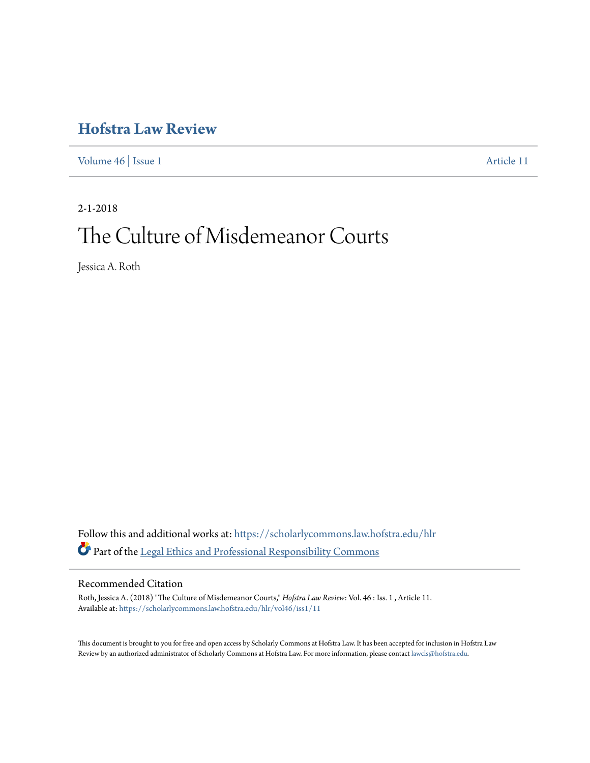# **[Hofstra Law Review](https://scholarlycommons.law.hofstra.edu/hlr?utm_source=scholarlycommons.law.hofstra.edu%2Fhlr%2Fvol46%2Fiss1%2F11&utm_medium=PDF&utm_campaign=PDFCoverPages)**

[Volume 46](https://scholarlycommons.law.hofstra.edu/hlr/vol46?utm_source=scholarlycommons.law.hofstra.edu%2Fhlr%2Fvol46%2Fiss1%2F11&utm_medium=PDF&utm_campaign=PDFCoverPages) | [Issue 1](https://scholarlycommons.law.hofstra.edu/hlr/vol46/iss1?utm_source=scholarlycommons.law.hofstra.edu%2Fhlr%2Fvol46%2Fiss1%2F11&utm_medium=PDF&utm_campaign=PDFCoverPages) [Article 11](https://scholarlycommons.law.hofstra.edu/hlr/vol46/iss1/11?utm_source=scholarlycommons.law.hofstra.edu%2Fhlr%2Fvol46%2Fiss1%2F11&utm_medium=PDF&utm_campaign=PDFCoverPages)

2-1-2018 The Culture of Misdemeanor Courts

Jessica A. Roth

Follow this and additional works at: [https://scholarlycommons.law.hofstra.edu/hlr](https://scholarlycommons.law.hofstra.edu/hlr?utm_source=scholarlycommons.law.hofstra.edu%2Fhlr%2Fvol46%2Fiss1%2F11&utm_medium=PDF&utm_campaign=PDFCoverPages) Part of the [Legal Ethics and Professional Responsibility Commons](http://network.bepress.com/hgg/discipline/895?utm_source=scholarlycommons.law.hofstra.edu%2Fhlr%2Fvol46%2Fiss1%2F11&utm_medium=PDF&utm_campaign=PDFCoverPages)

### Recommended Citation

Roth, Jessica A. (2018) "The Culture of Misdemeanor Courts," *Hofstra Law Review*: Vol. 46 : Iss. 1 , Article 11. Available at: [https://scholarlycommons.law.hofstra.edu/hlr/vol46/iss1/11](https://scholarlycommons.law.hofstra.edu/hlr/vol46/iss1/11?utm_source=scholarlycommons.law.hofstra.edu%2Fhlr%2Fvol46%2Fiss1%2F11&utm_medium=PDF&utm_campaign=PDFCoverPages)

This document is brought to you for free and open access by Scholarly Commons at Hofstra Law. It has been accepted for inclusion in Hofstra Law Review by an authorized administrator of Scholarly Commons at Hofstra Law. For more information, please contact [lawcls@hofstra.edu](mailto:lawcls@hofstra.edu).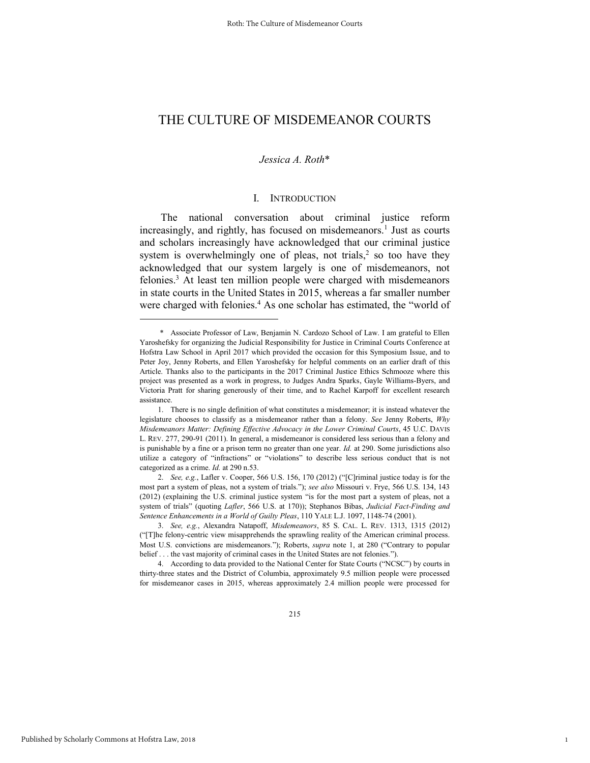## THE CULTURE OF MISDEMEANOR COURTS

### *Jessica A. Roth*\*

### I. INTRODUCTION

The national conversation about criminal justice reform increasingly, and rightly, has focused on misdemeanors.<sup>1</sup> Just as courts and scholars increasingly have acknowledged that our criminal justice system is overwhelmingly one of pleas, not trials, $<sup>2</sup>$  so too have they</sup> acknowledged that our system largely is one of misdemeanors, not felonies.<sup>3</sup> At least ten million people were charged with misdemeanors in state courts in the United States in 2015, whereas a far smaller number were charged with felonies.<sup>4</sup> As one scholar has estimated, the "world of

4. According to data provided to the National Center for State Courts ("NCSC") by courts in thirty-three states and the District of Columbia, approximately 9.5 million people were processed for misdemeanor cases in 2015, whereas approximately 2.4 million people were processed for

1

 <sup>\*</sup> Associate Professor of Law, Benjamin N. Cardozo School of Law. I am grateful to Ellen Yaroshefsky for organizing the Judicial Responsibility for Justice in Criminal Courts Conference at Hofstra Law School in April 2017 which provided the occasion for this Symposium Issue, and to Peter Joy, Jenny Roberts, and Ellen Yaroshefsky for helpful comments on an earlier draft of this Article. Thanks also to the participants in the 2017 Criminal Justice Ethics Schmooze where this project was presented as a work in progress, to Judges Andra Sparks, Gayle Williams-Byers, and Victoria Pratt for sharing generously of their time, and to Rachel Karpoff for excellent research assistance.

<sup>1.</sup> There is no single definition of what constitutes a misdemeanor; it is instead whatever the legislature chooses to classify as a misdemeanor rather than a felony. *See* Jenny Roberts, *Why Misdemeanors Matter: Defining Effective Advocacy in the Lower Criminal Courts*, 45 U.C. DAVIS L. REV. 277, 290-91 (2011). In general, a misdemeanor is considered less serious than a felony and is punishable by a fine or a prison term no greater than one year. *Id.* at 290. Some jurisdictions also utilize a category of "infractions" or "violations" to describe less serious conduct that is not categorized as a crime. *Id.* at 290 n.53.

<sup>2.</sup> *See, e.g.*, Lafler v. Cooper, 566 U.S. 156, 170 (2012) ("[C]riminal justice today is for the most part a system of pleas, not a system of trials."); *see also* Missouri v. Frye, 566 U.S. 134, 143 (2012) (explaining the U.S. criminal justice system "is for the most part a system of pleas, not a system of trials" (quoting *Lafler*, 566 U.S. at 170)); Stephanos Bibas, *Judicial Fact-Finding and Sentence Enhancements in a World of Guilty Pleas*, 110 YALE L.J. 1097, 1148-74 (2001).

<sup>3.</sup> *See, e.g.*, Alexandra Natapoff, *Misdemeanors*, 85 S. CAL. L. REV. 1313, 1315 (2012) ("[T]he felony-centric view misapprehends the sprawling reality of the American criminal process. Most U.S. convictions are misdemeanors."); Roberts, *supra* note 1, at 280 ("Contrary to popular belief . . . the vast majority of criminal cases in the United States are not felonies.").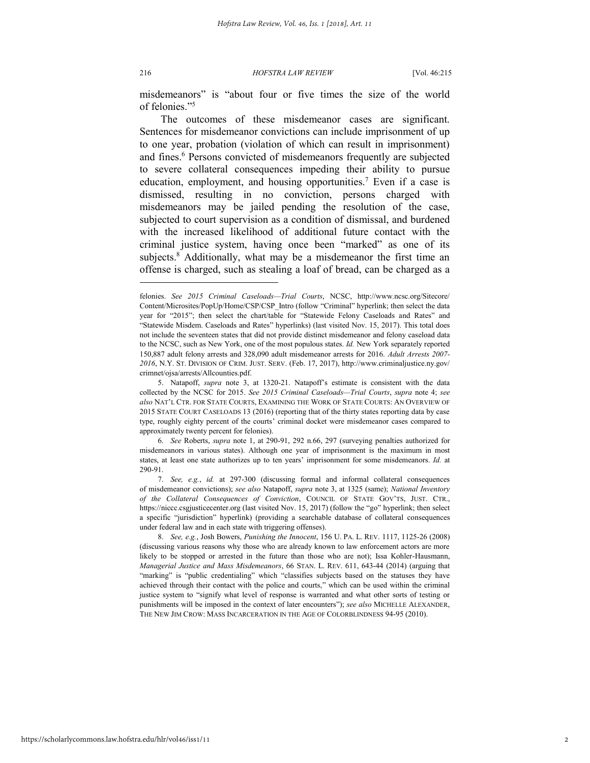216 *HOFSTRA LAW REVIEW* [Vol. 46:215

misdemeanors" is "about four or five times the size of the world of felonies."<sup>5</sup>

The outcomes of these misdemeanor cases are significant. Sentences for misdemeanor convictions can include imprisonment of up to one year, probation (violation of which can result in imprisonment) and fines.<sup>6</sup> Persons convicted of misdemeanors frequently are subjected to severe collateral consequences impeding their ability to pursue education, employment, and housing opportunities.<sup>7</sup> Even if a case is dismissed, resulting in no conviction, persons charged with misdemeanors may be jailed pending the resolution of the case, subjected to court supervision as a condition of dismissal, and burdened with the increased likelihood of additional future contact with the criminal justice system, having once been "marked" as one of its subjects.<sup>8</sup> Additionally, what may be a misdemeanor the first time an offense is charged, such as stealing a loaf of bread, can be charged as a

6. *See* Roberts, *supra* note 1, at 290-91, 292 n.66, 297 (surveying penalties authorized for misdemeanors in various states). Although one year of imprisonment is the maximum in most states, at least one state authorizes up to ten years' imprisonment for some misdemeanors. *Id.* at 290-91.

felonies. *See 2015 Criminal Caseloads—Trial Courts*, NCSC, http://www.ncsc.org/Sitecore/ Content/Microsites/PopUp/Home/CSP/CSP\_Intro (follow "Criminal" hyperlink; then select the data year for "2015"; then select the chart/table for "Statewide Felony Caseloads and Rates" and "Statewide Misdem. Caseloads and Rates" hyperlinks) (last visited Nov. 15, 2017). This total does not include the seventeen states that did not provide distinct misdemeanor and felony caseload data to the NCSC, such as New York, one of the most populous states. *Id.* New York separately reported 150,887 adult felony arrests and 328,090 adult misdemeanor arrests for 2016. *Adult Arrests 2007- 2016*, N.Y. ST. DIVISION OF CRIM. JUST. SERV. (Feb. 17, 2017), http://www.criminaljustice.ny.gov/ crimnet/ojsa/arrests/Allcounties.pdf.

<sup>5.</sup> Natapoff, *supra* note 3, at 1320-21. Natapoff's estimate is consistent with the data collected by the NCSC for 2015. *See 2015 Criminal Caseloads—Trial Courts*, *supra* note 4; *see also* NAT'L CTR. FOR STATE COURTS, EXAMINING THE WORK OF STATE COURTS: AN OVERVIEW OF 2015 STATE COURT CASELOADS 13 (2016) (reporting that of the thirty states reporting data by case type, roughly eighty percent of the courts' criminal docket were misdemeanor cases compared to approximately twenty percent for felonies).

<sup>7.</sup> *See, e.g.*, *id.* at 297-300 (discussing formal and informal collateral consequences of misdemeanor convictions); *see also* Natapoff, *supra* note 3, at 1325 (same); *National Inventory of the Collateral Consequences of Conviction*, COUNCIL OF STATE GOV'TS, JUST. CTR., https://niccc.csgjusticecenter.org (last visited Nov. 15, 2017) (follow the "go" hyperlink; then select a specific "jurisdiction" hyperlink) (providing a searchable database of collateral consequences under federal law and in each state with triggering offenses).

<sup>8.</sup> *See, e.g.*, Josh Bowers, *Punishing the Innocent*, 156 U. PA. L. REV. 1117, 1125-26 (2008) (discussing various reasons why those who are already known to law enforcement actors are more likely to be stopped or arrested in the future than those who are not); Issa Kohler-Hausmann, *Managerial Justice and Mass Misdemeanors*, 66 STAN. L. REV. 611, 643-44 (2014) (arguing that "marking" is "public credentialing" which "classifies subjects based on the statuses they have achieved through their contact with the police and courts," which can be used within the criminal justice system to "signify what level of response is warranted and what other sorts of testing or punishments will be imposed in the context of later encounters"); *see also* MICHELLE ALEXANDER, THE NEW JIM CROW: MASS INCARCERATION IN THE AGE OF COLORBLINDNESS 94-95 (2010).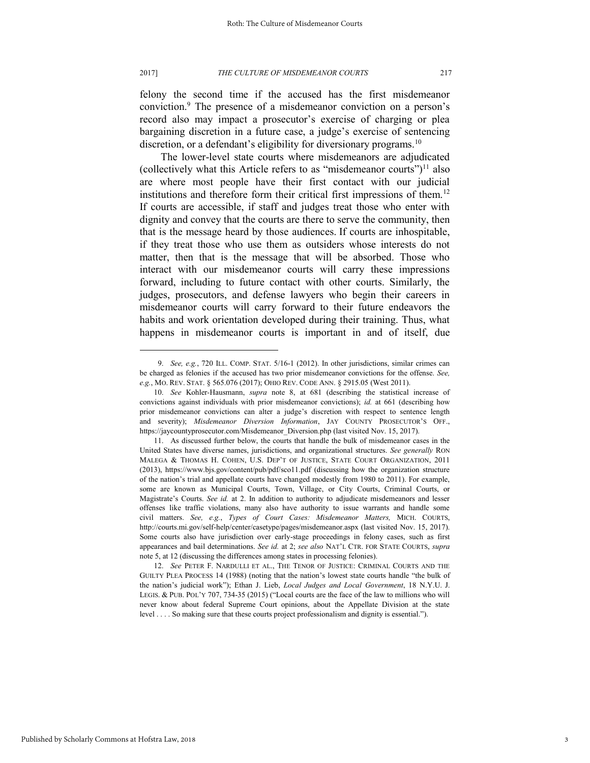#### 2017] *THE CULTURE OF MISDEMEANOR COURTS* 217

felony the second time if the accused has the first misdemeanor conviction.<sup>9</sup> The presence of a misdemeanor conviction on a person's record also may impact a prosecutor's exercise of charging or plea bargaining discretion in a future case, a judge's exercise of sentencing discretion, or a defendant's eligibility for diversionary programs.<sup>10</sup>

The lower-level state courts where misdemeanors are adjudicated (collectively what this Article refers to as "misdemeanor courts") $^{11}$  also are where most people have their first contact with our judicial institutions and therefore form their critical first impressions of them.<sup>12</sup> If courts are accessible, if staff and judges treat those who enter with dignity and convey that the courts are there to serve the community, then that is the message heard by those audiences. If courts are inhospitable, if they treat those who use them as outsiders whose interests do not matter, then that is the message that will be absorbed. Those who interact with our misdemeanor courts will carry these impressions forward, including to future contact with other courts. Similarly, the judges, prosecutors, and defense lawyers who begin their careers in misdemeanor courts will carry forward to their future endeavors the habits and work orientation developed during their training. Thus, what happens in misdemeanor courts is important in and of itself, due

12. *See* PETER F. NARDULLI ET AL., THE TENOR OF JUSTICE: CRIMINAL COURTS AND THE GUILTY PLEA PROCESS 14 (1988) (noting that the nation's lowest state courts handle "the bulk of the nation's judicial work"); Ethan J. Lieb, *Local Judges and Local Government*, 18 N.Y.U. J. LEGIS. & PUB. POL'Y 707, 734-35 (2015) ("Local courts are the face of the law to millions who will never know about federal Supreme Court opinions, about the Appellate Division at the state level . . . . So making sure that these courts project professionalism and dignity is essential.").

<sup>9.</sup> *See, e.g.*, 720 ILL. COMP. STAT. 5/16-1 (2012). In other jurisdictions, similar crimes can be charged as felonies if the accused has two prior misdemeanor convictions for the offense. *See, e.g.*, MO. REV. STAT. § 565.076 (2017); OHIO REV. CODE ANN. § 2915.05 (West 2011).

<sup>10.</sup> *See* Kohler*-*Hausmann, *supra* note 8, at 681 (describing the statistical increase of convictions against individuals with prior misdemeanor convictions); *id.* at 661 (describing how prior misdemeanor convictions can alter a judge's discretion with respect to sentence length and severity); *Misdemeanor Diversion Information*, JAY COUNTY PROSECUTOR'S OFF., https://jaycountyprosecutor.com/Misdemeanor\_Diversion.php (last visited Nov. 15, 2017).

<sup>11.</sup> As discussed further below, the courts that handle the bulk of misdemeanor cases in the United States have diverse names, jurisdictions, and organizational structures. *See generally* RON MALEGA & THOMAS H. COHEN, U.S. DEP'T OF JUSTICE, STATE COURT ORGANIZATION, 2011 (2013), https://www.bjs.gov/content/pub/pdf/sco11.pdf (discussing how the organization structure of the nation's trial and appellate courts have changed modestly from 1980 to 2011). For example, some are known as Municipal Courts, Town, Village, or City Courts, Criminal Courts, or Magistrate's Courts. *See id.* at 2. In addition to authority to adjudicate misdemeanors and lesser offenses like traffic violations, many also have authority to issue warrants and handle some civil matters. *See, e.g.*, *Types of Court Cases: Misdemeanor Matters,* MICH. COURTS, http://courts.mi.gov/self-help/center/casetype/pages/misdemeanor.aspx (last visited Nov. 15, 2017). Some courts also have jurisdiction over early-stage proceedings in felony cases, such as first appearances and bail determinations. *See id.* at 2; *see also* NAT'L CTR. FOR STATE COURTS, *supra*  note 5, at 12 (discussing the differences among states in processing felonies).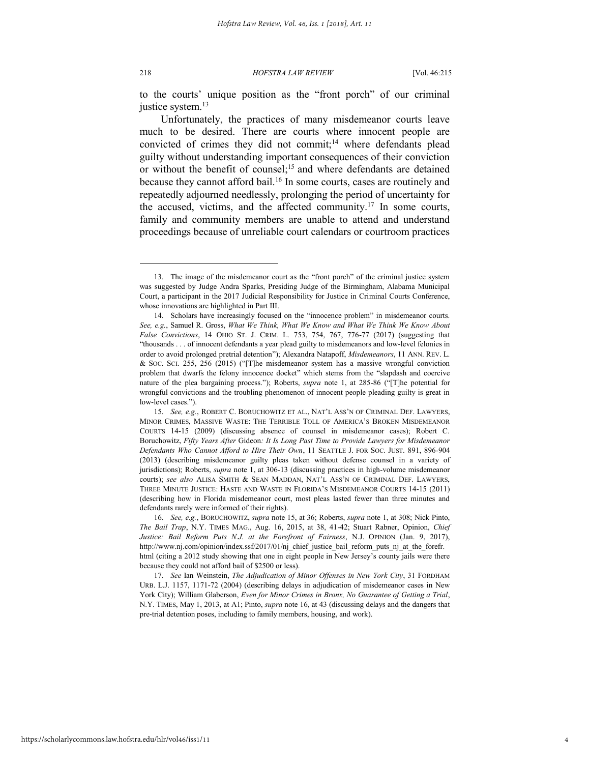218 *HOFSTRA LAW REVIEW* [Vol. 46:215

to the courts' unique position as the "front porch" of our criminal justice system.<sup>13</sup>

Unfortunately, the practices of many misdemeanor courts leave much to be desired. There are courts where innocent people are convicted of crimes they did not commit;<sup>14</sup> where defendants plead guilty without understanding important consequences of their conviction or without the benefit of counsel;<sup>15</sup> and where defendants are detained because they cannot afford bail.<sup>16</sup> In some courts, cases are routinely and repeatedly adjourned needlessly, prolonging the period of uncertainty for the accused, victims, and the affected community.<sup>17</sup> In some courts, family and community members are unable to attend and understand proceedings because of unreliable court calendars or courtroom practices

<sup>13.</sup> The image of the misdemeanor court as the "front porch" of the criminal justice system was suggested by Judge Andra Sparks, Presiding Judge of the Birmingham, Alabama Municipal Court, a participant in the 2017 Judicial Responsibility for Justice in Criminal Courts Conference, whose innovations are highlighted in Part III.

<sup>14.</sup> Scholars have increasingly focused on the "innocence problem" in misdemeanor courts. *See, e.g.*, Samuel R. Gross, *What We Think, What We Know and What We Think We Know About False Convictions*, 14 OHIO ST. J. CRIM. L. 753, 754, 767, 776-77 (2017) (suggesting that "thousands . . . of innocent defendants a year plead guilty to misdemeanors and low-level felonies in order to avoid prolonged pretrial detention"); Alexandra Natapoff, *Misdemeanors*, 11 ANN. REV. L. & SOC. SCI. 255, 256 (2015) ("[T]he misdemeanor system has a massive wrongful conviction problem that dwarfs the felony innocence docket" which stems from the "slapdash and coercive nature of the plea bargaining process."); Roberts, *supra* note 1, at 285-86 ("[T]he potential for wrongful convictions and the troubling phenomenon of innocent people pleading guilty is great in low-level cases.").

<sup>15.</sup> *See, e.g.*, ROBERT C. BORUCHOWITZ ET AL., NAT'L ASS'N OF CRIMINAL DEF. LAWYERS, MINOR CRIMES, MASSIVE WASTE: THE TERRIBLE TOLL OF AMERICA'S BROKEN MISDEMEANOR COURTS 14-15 (2009) (discussing absence of counsel in misdemeanor cases); Robert C. Boruchowitz, *Fifty Years After* Gideon*: It Is Long Past Time to Provide Lawyers for Misdemeanor Defendants Who Cannot Afford to Hire Their Own*, 11 SEATTLE J. FOR SOC. JUST. 891, 896-904 (2013) (describing misdemeanor guilty pleas taken without defense counsel in a variety of jurisdictions); Roberts, *supra* note 1, at 306-13 (discussing practices in high-volume misdemeanor courts); *see also* ALISA SMITH & SEAN MADDAN, NAT'L ASS'N OF CRIMINAL DEF. LAWYERS, THREE MINUTE JUSTICE: HASTE AND WASTE IN FLORIDA'S MISDEMEANOR COURTS 14-15 (2011) (describing how in Florida misdemeanor court, most pleas lasted fewer than three minutes and defendants rarely were informed of their rights).

<sup>16.</sup> *See, e.g.*, BORUCHOWITZ, *supra* note 15, at 36; Roberts, *supra* note 1, at 308; Nick Pinto, *The Bail Trap*, N.Y. TIMES MAG., Aug. 16, 2015, at 38, 41-42; Stuart Rabner, Opinion, *Chief Justice: Bail Reform Puts N.J. at the Forefront of Fairness*, N.J. OPINION (Jan. 9, 2017), http://www.nj.com/opinion/index.ssf/2017/01/nj\_chief\_justice\_bail\_reform\_puts\_nj\_at\_the\_forefr. html (citing a 2012 study showing that one in eight people in New Jersey's county jails were there because they could not afford bail of \$2500 or less).

<sup>17.</sup> *See* Ian Weinstein, *The Adjudication of Minor Offenses in New York City*, 31 FORDHAM URB. L.J. 1157, 1171-72 (2004) (describing delays in adjudication of misdemeanor cases in New York City); William Glaberson, *Even for Minor Crimes in Bronx, No Guarantee of Getting a Trial*, N.Y. TIMES, May 1, 2013, at A1; Pinto, *supra* note 16, at 43 (discussing delays and the dangers that pre-trial detention poses, including to family members, housing, and work).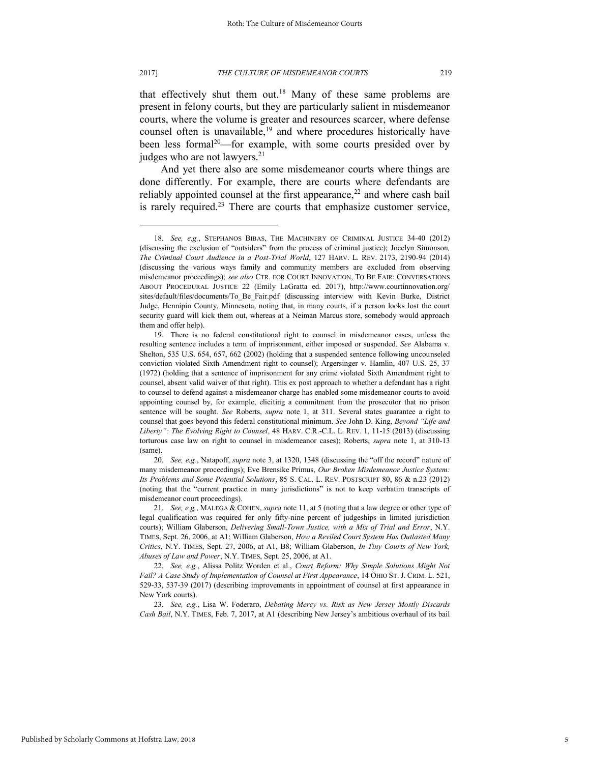that effectively shut them out.<sup>18</sup> Many of these same problems are present in felony courts, but they are particularly salient in misdemeanor courts, where the volume is greater and resources scarcer, where defense counsel often is unavailable,<sup>19</sup> and where procedures historically have been less formal<sup>20</sup>—for example, with some courts presided over by judges who are not lawyers.<sup>21</sup>

And yet there also are some misdemeanor courts where things are done differently. For example, there are courts where defendants are reliably appointed counsel at the first appearance,<sup>22</sup> and where cash bail is rarely required.<sup>23</sup> There are courts that emphasize customer service,

<sup>18.</sup> *See, e.g.*, STEPHANOS BIBAS, THE MACHINERY OF CRIMINAL JUSTICE 34-40 (2012) (discussing the exclusion of "outsiders" from the process of criminal justice); Jocelyn Simonson*, The Criminal Court Audience in a Post-Trial World*, 127 HARV. L. REV. 2173, 2190-94 (2014) (discussing the various ways family and community members are excluded from observing misdemeanor proceedings); *see also* CTR. FOR COURT INNOVATION, TO BE FAIR: CONVERSATIONS ABOUT PROCEDURAL JUSTICE 22 (Emily LaGratta ed. 2017), http://www.courtinnovation.org/ sites/default/files/documents/To\_Be\_Fair.pdf (discussing interview with Kevin Burke, District Judge, Hennipin County, Minnesota, noting that, in many courts, if a person looks lost the court security guard will kick them out, whereas at a Neiman Marcus store, somebody would approach them and offer help).

<sup>19.</sup> There is no federal constitutional right to counsel in misdemeanor cases, unless the resulting sentence includes a term of imprisonment, either imposed or suspended. *See* Alabama v. Shelton, 535 U.S. 654, 657, 662 (2002) (holding that a suspended sentence following uncounseled conviction violated Sixth Amendment right to counsel); Argersinger v. Hamlin, 407 U.S. 25, 37 (1972) (holding that a sentence of imprisonment for any crime violated Sixth Amendment right to counsel, absent valid waiver of that right). This ex post approach to whether a defendant has a right to counsel to defend against a misdemeanor charge has enabled some misdemeanor courts to avoid appointing counsel by, for example, eliciting a commitment from the prosecutor that no prison sentence will be sought. *See* Roberts, *supra* note 1, at 311. Several states guarantee a right to counsel that goes beyond this federal constitutional minimum. *See* John D. King, *Beyond "Life and Liberty": The Evolving Right to Counsel*, 48 HARV. C.R.-C.L. L. REV. 1, 11-15 (2013) (discussing torturous case law on right to counsel in misdemeanor cases); Roberts, *supra* note 1, at 310-13 (same).

<sup>20.</sup> *See, e.g.*, Natapoff, *supra* note 3, at 1320, 1348 (discussing the "off the record" nature of many misdemeanor proceedings); Eve Brensike Primus, *Our Broken Misdemeanor Justice System: Its Problems and Some Potential Solutions*, 85 S. CAL. L. REV. POSTSCRIPT 80, 86 & n.23 (2012) (noting that the "current practice in many jurisdictions" is not to keep verbatim transcripts of misdemeanor court proceedings).

<sup>21.</sup> *See, e.g.*, MALEGA & COHEN, *supra* note 11, at 5 (noting that a law degree or other type of legal qualification was required for only fifty-nine percent of judgeships in limited jurisdiction courts); William Glaberson, *Delivering Small-Town Justice, with a Mix of Trial and Error*, N.Y. TIMES, Sept. 26, 2006, at A1; William Glaberson, *How a Reviled Court System Has Outlasted Many Critics*, N.Y. TIMES, Sept. 27, 2006, at A1, B8; William Glaberson, *In Tiny Courts of New York, Abuses of Law and Power*, N.Y. TIMES, Sept. 25, 2006, at A1.

<sup>22.</sup> *See, e.g.*, Alissa Politz Worden et al., *Court Reform: Why Simple Solutions Might Not Fail? A Case Study of Implementation of Counsel at First Appearance*, 14 OHIO ST. J. CRIM. L. 521, 529-33, 537-39 (2017) (describing improvements in appointment of counsel at first appearance in New York courts).

<sup>23.</sup> *See, e.g.*, Lisa W. Foderaro, *Debating Mercy vs. Risk as New Jersey Mostly Discards Cash Bail*, N.Y. TIMES, Feb. 7, 2017, at A1 (describing New Jersey's ambitious overhaul of its bail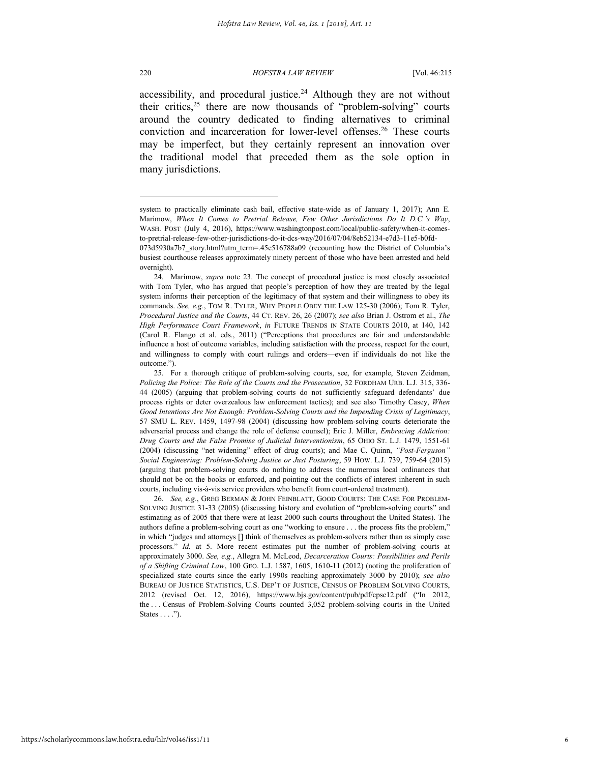220 *HOFSTRA LAW REVIEW* [Vol. 46:215

accessibility, and procedural justice.<sup>24</sup> Although they are not without their critics,<sup>25</sup> there are now thousands of "problem-solving" courts around the country dedicated to finding alternatives to criminal conviction and incarceration for lower-level offenses.<sup>26</sup> These courts may be imperfect, but they certainly represent an innovation over the traditional model that preceded them as the sole option in many jurisdictions.

system to practically eliminate cash bail, effective state-wide as of January 1, 2017); Ann E. Marimow, *When It Comes to Pretrial Release, Few Other Jurisdictions Do It D.C.'s Way*, WASH. POST (July 4, 2016), https://www.washingtonpost.com/local/public-safety/when-it-comesto-pretrial-release-few-other-jurisdictions-do-it-dcs-way/2016/07/04/8eb52134-e7d3-11e5-b0fd-

<sup>073</sup>d5930a7b7\_story.html?utm\_term=.45e516788a09 (recounting how the District of Columbia's busiest courthouse releases approximately ninety percent of those who have been arrested and held overnight).

<sup>24.</sup> Marimow, *supra* note 23. The concept of procedural justice is most closely associated with Tom Tyler, who has argued that people's perception of how they are treated by the legal system informs their perception of the legitimacy of that system and their willingness to obey its commands. *See, e.g.*, TOM R. TYLER, WHY PEOPLE OBEY THE LAW 125-30 (2006); Tom R. Tyler, *Procedural Justice and the Courts*, 44 CT. REV. 26, 26 (2007); *see also* Brian J. Ostrom et al., *The High Performance Court Framework*, *in* FUTURE TRENDS IN STATE COURTS 2010, at 140, 142 (Carol R. Flango et al. eds., 2011) ("Perceptions that procedures are fair and understandable influence a host of outcome variables, including satisfaction with the process, respect for the court, and willingness to comply with court rulings and orders—even if individuals do not like the outcome.").

<sup>25.</sup> For a thorough critique of problem-solving courts, see, for example, Steven Zeidman, *Policing the Police: The Role of the Courts and the Prosecution*, 32 FORDHAM URB. L.J. 315, 336- 44 (2005) (arguing that problem-solving courts do not sufficiently safeguard defendants' due process rights or deter overzealous law enforcement tactics); and see also Timothy Casey, *When Good Intentions Are Not Enough: Problem-Solving Courts and the Impending Crisis of Legitimacy*, 57 SMU L. REV. 1459, 1497-98 (2004) (discussing how problem-solving courts deteriorate the adversarial process and change the role of defense counsel); Eric J. Miller, *Embracing Addiction: Drug Courts and the False Promise of Judicial Interventionism*, 65 OHIO ST. L.J. 1479, 1551-61 (2004) (discussing "net widening" effect of drug courts); and Mae C. Quinn, *"Post-Ferguson" Social Engineering: Problem-Solving Justice or Just Posturing*, 59 HOW. L.J. 739, 759-64 (2015) (arguing that problem-solving courts do nothing to address the numerous local ordinances that should not be on the books or enforced, and pointing out the conflicts of interest inherent in such courts, including vis-à-vis service providers who benefit from court-ordered treatment).

<sup>26.</sup> *See, e.g.*, GREG BERMAN & JOHN FEINBLATT, GOOD COURTS: THE CASE FOR PROBLEM-SOLVING JUSTICE 31-33 (2005) (discussing history and evolution of "problem-solving courts" and estimating as of 2005 that there were at least 2000 such courts throughout the United States). The authors define a problem-solving court as one "working to ensure . . . the process fits the problem," in which "judges and attorneys [] think of themselves as problem-solvers rather than as simply case processors." *Id.* at 5. More recent estimates put the number of problem-solving courts at approximately 3000. *See, e.g.*, Allegra M. McLeod, *Decarceration Courts: Possibilities and Perils of a Shifting Criminal Law*, 100 GEO. L.J. 1587, 1605, 1610-11 (2012) (noting the proliferation of specialized state courts since the early 1990s reaching approximately 3000 by 2010); *see also* BUREAU OF JUSTICE STATISTICS, U.S. DEP'T OF JUSTICE, CENSUS OF PROBLEM SOLVING COURTS, 2012 (revised Oct. 12, 2016), https://www.bjs.gov/content/pub/pdf/cpsc12.pdf ("In 2012, the . . . Census of Problem-Solving Courts counted 3,052 problem-solving courts in the United States  $\dots$ .").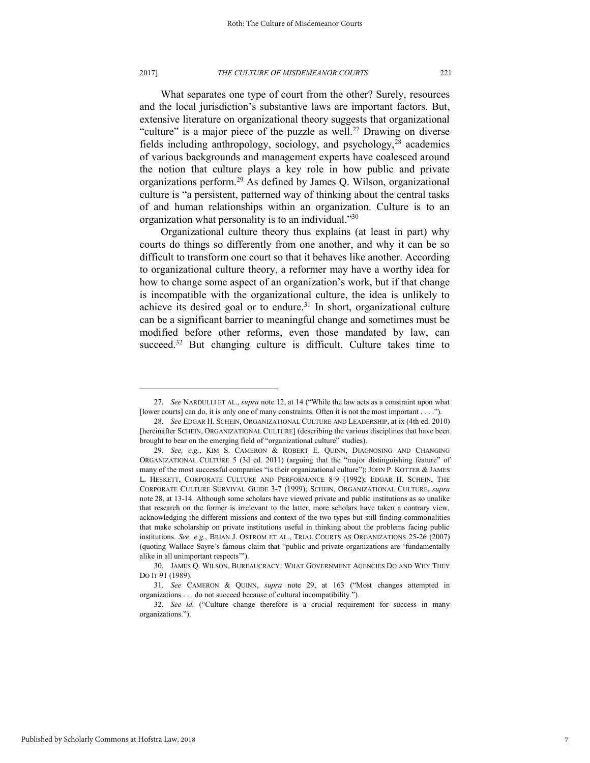#### 2017] *THE CULTURE OF MISDEMEANOR COURTS* 221

What separates one type of court from the other? Surely, resources and the local jurisdiction's substantive laws are important factors. But, extensive literature on organizational theory suggests that organizational "culture" is a major piece of the puzzle as well.<sup>27</sup> Drawing on diverse fields including anthropology, sociology, and psychology,<sup>28</sup> academics of various backgrounds and management experts have coalesced around the notion that culture plays a key role in how public and private organizations perform.<sup>29</sup> As defined by James Q. Wilson, organizational culture is "a persistent, patterned way of thinking about the central tasks of and human relationships within an organization. Culture is to an organization what personality is to an individual."30

Organizational culture theory thus explains (at least in part) why courts do things so differently from one another, and why it can be so difficult to transform one court so that it behaves like another. According to organizational culture theory, a reformer may have a worthy idea for how to change some aspect of an organization's work, but if that change is incompatible with the organizational culture, the idea is unlikely to achieve its desired goal or to endure.<sup>31</sup> In short, organizational culture can be a significant barrier to meaningful change and sometimes must be modified before other reforms, even those mandated by law, can succeed.<sup>32</sup> But changing culture is difficult. Culture takes time to

<sup>27.</sup> *See* NARDULLI ET AL., *supra* note 12, at 14 ("While the law acts as a constraint upon what [lower courts] can do, it is only one of many constraints. Often it is not the most important . . . .").

<sup>28.</sup> *See* EDGAR H. SCHEIN, ORGANIZATIONAL CULTURE AND LEADERSHIP, at ix (4th ed. 2010) [hereinafter SCHEIN, ORGANIZATIONAL CULTURE] (describing the various disciplines that have been brought to bear on the emerging field of "organizational culture" studies).

<sup>29.</sup> *See, e.g.*, KIM S. CAMERON & ROBERT E. QUINN, DIAGNOSING AND CHANGING ORGANIZATIONAL CULTURE 5 (3d ed. 2011) (arguing that the "major distinguishing feature" of many of the most successful companies "is their organizational culture"); JOHN P. KOTTER & JAMES L. HESKETT, CORPORATE CULTURE AND PERFORMANCE 8-9 (1992); EDGAR H. SCHEIN, THE CORPORATE CULTURE SURVIVAL GUIDE 3-7 (1999); SCHEIN, ORGANIZATIONAL CULTURE, *supra* note 28, at 13-14. Although some scholars have viewed private and public institutions as so unalike that research on the former is irrelevant to the latter, more scholars have taken a contrary view, acknowledging the different missions and context of the two types but still finding commonalities that make scholarship on private institutions useful in thinking about the problems facing public institutions. *See, e.g.*, BRIAN J. OSTROM ET AL., TRIAL COURTS AS ORGANIZATIONS 25-26 (2007) (quoting Wallace Sayre's famous claim that "public and private organizations are 'fundamentally alike in all unimportant respects'").

<sup>30.</sup> JAMES Q. WILSON, BUREAUCRACY: WHAT GOVERNMENT AGENCIES DO AND WHY THEY DO IT 91 (1989).

<sup>31.</sup> *See* CAMERON & QUINN, *supra* note 29, at 163 ("Most changes attempted in organizations . . . do not succeed because of cultural incompatibility.").

<sup>32.</sup> *See id.* ("Culture change therefore is a crucial requirement for success in many organizations.").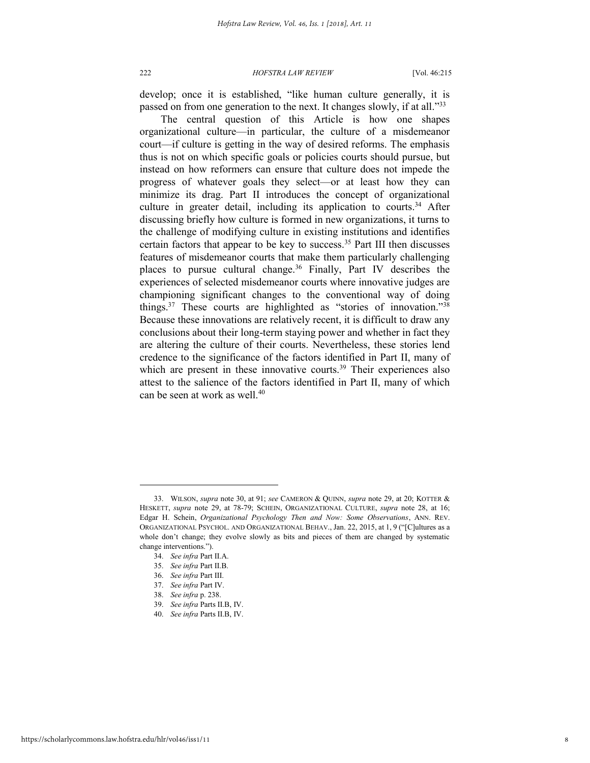develop; once it is established, "like human culture generally, it is passed on from one generation to the next. It changes slowly, if at all."<sup>33</sup>

The central question of this Article is how one shapes organizational culture—in particular, the culture of a misdemeanor court—if culture is getting in the way of desired reforms. The emphasis thus is not on which specific goals or policies courts should pursue, but instead on how reformers can ensure that culture does not impede the progress of whatever goals they select—or at least how they can minimize its drag. Part II introduces the concept of organizational culture in greater detail, including its application to courts.<sup>34</sup> After discussing briefly how culture is formed in new organizations, it turns to the challenge of modifying culture in existing institutions and identifies certain factors that appear to be key to success.<sup>35</sup> Part III then discusses features of misdemeanor courts that make them particularly challenging places to pursue cultural change. $36$  Finally, Part IV describes the experiences of selected misdemeanor courts where innovative judges are championing significant changes to the conventional way of doing things.<sup>37</sup> These courts are highlighted as "stories of innovation."<sup>38</sup> Because these innovations are relatively recent, it is difficult to draw any conclusions about their long-term staying power and whether in fact they are altering the culture of their courts. Nevertheless, these stories lend credence to the significance of the factors identified in Part II, many of which are present in these innovative courts.<sup>39</sup> Their experiences also attest to the salience of the factors identified in Part II, many of which can be seen at work as well  $40$ 

- 38. *See infra* p. 238.
- 39. *See infra* Parts II.B, IV.
- 40. *See infra* Parts II.B, IV.

<sup>33.</sup> WILSON, *supra* note 30, at 91; *see* CAMERON & QUINN, *supra* note 29, at 20; KOTTER & HESKETT, *supra* note 29, at 78-79; SCHEIN, ORGANIZATIONAL CULTURE, *supra* note 28, at 16; Edgar H. Schein, *Organizational Psychology Then and Now: Some Observations*, ANN. REV. ORGANIZATIONAL PSYCHOL. AND ORGANIZATIONAL BEHAV., Jan. 22, 2015, at 1, 9 ("[C]ultures as a whole don't change; they evolve slowly as bits and pieces of them are changed by systematic change interventions.").

<sup>34.</sup> *See infra* Part II.A.

<sup>35.</sup> *See infra* Part II.B.

<sup>36.</sup> *See infra* Part III.

<sup>37.</sup> *See infra* Part IV.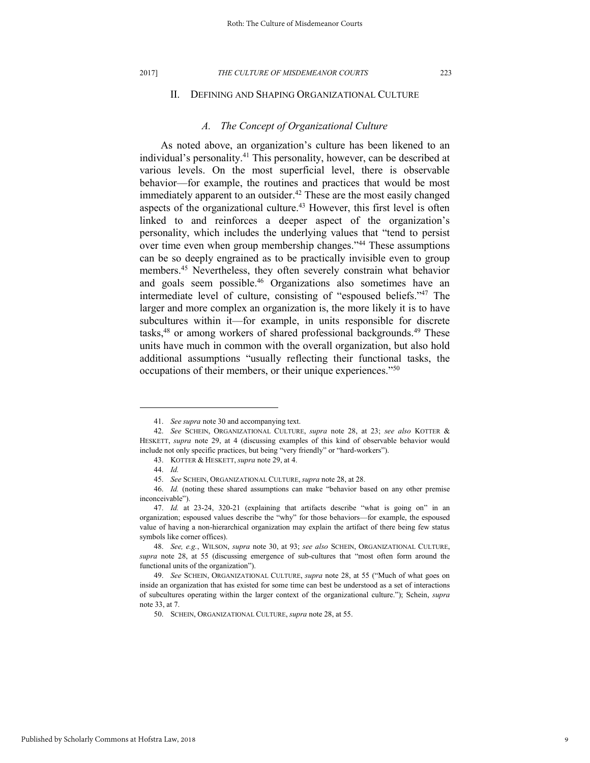#### 2017] *THE CULTURE OF MISDEMEANOR COURTS* 223

### II. DEFINING AND SHAPING ORGANIZATIONAL CULTURE

### *A. The Concept of Organizational Culture*

As noted above, an organization's culture has been likened to an individual's personality.<sup>41</sup> This personality, however, can be described at various levels. On the most superficial level, there is observable behavior—for example, the routines and practices that would be most immediately apparent to an outsider.<sup>42</sup> These are the most easily changed aspects of the organizational culture.<sup>43</sup> However, this first level is often linked to and reinforces a deeper aspect of the organization's personality, which includes the underlying values that "tend to persist over time even when group membership changes."<sup>44</sup> These assumptions can be so deeply engrained as to be practically invisible even to group members.<sup>45</sup> Nevertheless, they often severely constrain what behavior and goals seem possible.<sup>46</sup> Organizations also sometimes have an intermediate level of culture, consisting of "espoused beliefs."<sup>47</sup> The larger and more complex an organization is, the more likely it is to have subcultures within it—for example, in units responsible for discrete tasks,<sup>48</sup> or among workers of shared professional backgrounds.<sup>49</sup> These units have much in common with the overall organization, but also hold additional assumptions "usually reflecting their functional tasks, the occupations of their members, or their unique experiences."<sup>50</sup>

<sup>41.</sup> *See supra* note 30 and accompanying text.

<sup>42.</sup> *See* SCHEIN, ORGANIZATIONAL CULTURE, *supra* note 28, at 23; *see also* KOTTER & HESKETT, *supra* note 29, at 4 (discussing examples of this kind of observable behavior would include not only specific practices, but being "very friendly" or "hard-workers").

<sup>43.</sup> KOTTER & HESKETT, *supra* note 29, at 4.

<sup>44.</sup> *Id.*

<sup>45.</sup> *See* SCHEIN, ORGANIZATIONAL CULTURE, *supra* note 28, at 28.

<sup>46.</sup> *Id.* (noting these shared assumptions can make "behavior based on any other premise inconceivable").

<sup>47.</sup> *Id.* at 23-24, 320-21 (explaining that artifacts describe "what is going on" in an organization; espoused values describe the "why" for those behaviors—for example, the espoused value of having a non-hierarchical organization may explain the artifact of there being few status symbols like corner offices).

<sup>48.</sup> *See, e.g.*, WILSON, *supra* note 30, at 93; *see also* SCHEIN, ORGANIZATIONAL CULTURE, *supra* note 28, at 55 (discussing emergence of sub-cultures that "most often form around the functional units of the organization").

<sup>49.</sup> *See* SCHEIN, ORGANIZATIONAL CULTURE, *supra* note 28, at 55 ("Much of what goes on inside an organization that has existed for some time can best be understood as a set of interactions of subcultures operating within the larger context of the organizational culture."); Schein, *supra*  note 33, at 7.

<sup>50.</sup> SCHEIN, ORGANIZATIONAL CULTURE, *supra* note 28, at 55.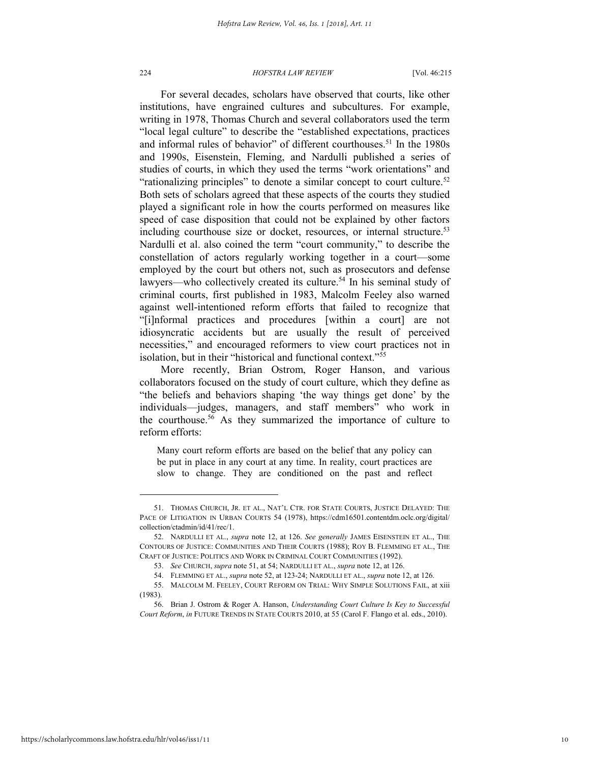For several decades, scholars have observed that courts, like other institutions, have engrained cultures and subcultures. For example, writing in 1978, Thomas Church and several collaborators used the term "local legal culture" to describe the "established expectations, practices and informal rules of behavior" of different courthouses.<sup>51</sup> In the 1980s and 1990s, Eisenstein, Fleming, and Nardulli published a series of studies of courts, in which they used the terms "work orientations" and "rationalizing principles" to denote a similar concept to court culture.<sup>52</sup> Both sets of scholars agreed that these aspects of the courts they studied played a significant role in how the courts performed on measures like speed of case disposition that could not be explained by other factors including courthouse size or docket, resources, or internal structure.<sup>53</sup> Nardulli et al. also coined the term "court community," to describe the constellation of actors regularly working together in a court—some employed by the court but others not, such as prosecutors and defense lawyers—who collectively created its culture.<sup>54</sup> In his seminal study of criminal courts, first published in 1983, Malcolm Feeley also warned against well-intentioned reform efforts that failed to recognize that "[i]nformal practices and procedures [within a court] are not idiosyncratic accidents but are usually the result of perceived necessities," and encouraged reformers to view court practices not in isolation, but in their "historical and functional context."<sup>55</sup>

More recently, Brian Ostrom, Roger Hanson, and various collaborators focused on the study of court culture, which they define as "the beliefs and behaviors shaping 'the way things get done' by the individuals—judges, managers, and staff members" who work in the courthouse.<sup>56</sup> As they summarized the importance of culture to reform efforts:

Many court reform efforts are based on the belief that any policy can be put in place in any court at any time. In reality, court practices are slow to change. They are conditioned on the past and reflect

<sup>51.</sup> THOMAS CHURCH, JR. ET AL., NAT'L CTR. FOR STATE COURTS, JUSTICE DELAYED: THE PACE OF LITIGATION IN URBAN COURTS 54 (1978), https://cdm16501.contentdm.oclc.org/digital/ collection/ctadmin/id/41/rec/1.

<sup>52.</sup> NARDULLI ET AL., *supra* note 12, at 126. *See generally* JAMES EISENSTEIN ET AL., THE CONTOURS OF JUSTICE: COMMUNITIES AND THEIR COURTS (1988); ROY B. FLEMMING ET AL., THE CRAFT OF JUSTICE: POLITICS AND WORK IN CRIMINAL COURT COMMUNITIES (1992).

<sup>53.</sup> *See* CHURCH, *supra* note 51, at 54; NARDULLI ET AL., *supra* note 12, at 126.

<sup>54.</sup> FLEMMING ET AL., *supra* note 52, at 123-24; NARDULLI ET AL., *supra* note 12, at 126.

<sup>55.</sup> MALCOLM M. FEELEY, COURT REFORM ON TRIAL: WHY SIMPLE SOLUTIONS FAIL, at xiii (1983).

<sup>56.</sup> Brian J. Ostrom & Roger A. Hanson, *Understanding Court Culture Is Key to Successful Court Reform*, *in* FUTURE TRENDS IN STATE COURTS 2010, at 55 (Carol F. Flango et al. eds., 2010).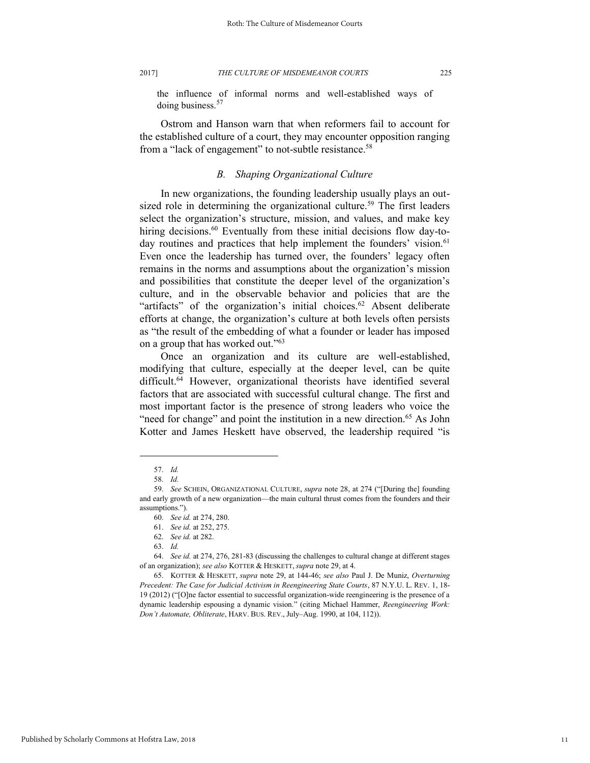the influence of informal norms and well-established ways of doing business.<sup>57</sup>

Ostrom and Hanson warn that when reformers fail to account for the established culture of a court, they may encounter opposition ranging from a "lack of engagement" to not-subtle resistance.<sup>58</sup>

### *B. Shaping Organizational Culture*

In new organizations, the founding leadership usually plays an outsized role in determining the organizational culture.<sup>59</sup> The first leaders select the organization's structure, mission, and values, and make key hiring decisions.<sup>60</sup> Eventually from these initial decisions flow day-today routines and practices that help implement the founders' vision.<sup>61</sup> Even once the leadership has turned over, the founders' legacy often remains in the norms and assumptions about the organization's mission and possibilities that constitute the deeper level of the organization's culture, and in the observable behavior and policies that are the "artifacts" of the organization's initial choices. $62$  Absent deliberate efforts at change, the organization's culture at both levels often persists as "the result of the embedding of what a founder or leader has imposed on a group that has worked out."<sup>63</sup>

Once an organization and its culture are well-established, modifying that culture, especially at the deeper level, can be quite difficult.<sup>64</sup> However, organizational theorists have identified several factors that are associated with successful cultural change. The first and most important factor is the presence of strong leaders who voice the "need for change" and point the institution in a new direction.<sup>65</sup> As John Kotter and James Heskett have observed, the leadership required "is

<sup>57.</sup> *Id.*

<sup>58.</sup> *Id.*

<sup>59.</sup> *See* SCHEIN, ORGANIZATIONAL CULTURE, *supra* note 28, at 274 ("[During the] founding and early growth of a new organization—the main cultural thrust comes from the founders and their assumptions.").

<sup>60.</sup> *See id.* at 274, 280.

<sup>61.</sup> *See id.* at 252, 275.

<sup>62.</sup> *See id.* at 282.

<sup>63.</sup> *Id.*

<sup>64.</sup> *See id.* at 274, 276, 281-83 (discussing the challenges to cultural change at different stages of an organization); *see also* KOTTER & HESKETT, *supra* note 29, at 4.

<sup>65.</sup> KOTTER & HESKETT, *supra* note 29, at 144-46; *see also* Paul J. De Muniz, *Overturning Precedent: The Case for Judicial Activism in Reengineering State Courts*, 87 N.Y.U. L. REV. 1, 18- 19 (2012) ("[O]ne factor essential to successful organization-wide reengineering is the presence of a dynamic leadership espousing a dynamic vision." (citing Michael Hammer, *Reengineering Work: Don't Automate, Obliterate*, HARV. BUS. REV., July–Aug. 1990, at 104, 112)).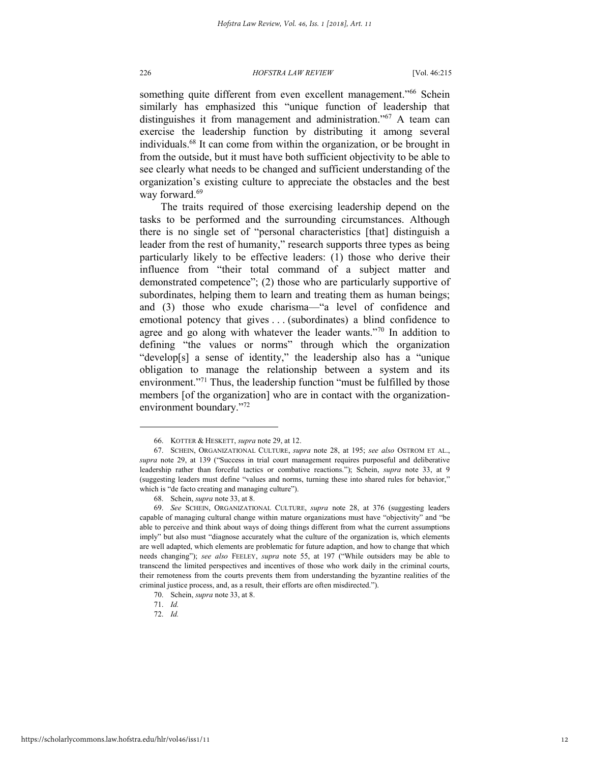something quite different from even excellent management."<sup>66</sup> Schein similarly has emphasized this "unique function of leadership that distinguishes it from management and administration."<sup>67</sup> A team can exercise the leadership function by distributing it among several individuals.<sup>68</sup> It can come from within the organization, or be brought in from the outside, but it must have both sufficient objectivity to be able to see clearly what needs to be changed and sufficient understanding of the organization's existing culture to appreciate the obstacles and the best way forward.<sup>69</sup>

The traits required of those exercising leadership depend on the tasks to be performed and the surrounding circumstances. Although there is no single set of "personal characteristics [that] distinguish a leader from the rest of humanity," research supports three types as being particularly likely to be effective leaders: (1) those who derive their influence from "their total command of a subject matter and demonstrated competence"; (2) those who are particularly supportive of subordinates, helping them to learn and treating them as human beings; and (3) those who exude charisma—"a level of confidence and emotional potency that gives . . . (subordinates) a blind confidence to agree and go along with whatever the leader wants."<sup>70</sup> In addition to defining "the values or norms" through which the organization "develop[s] a sense of identity," the leadership also has a "unique obligation to manage the relationship between a system and its environment."<sup>71</sup> Thus, the leadership function "must be fulfilled by those members [of the organization] who are in contact with the organizationenvironment boundary."<sup>72</sup>

<sup>66.</sup> KOTTER & HESKETT, *supra* note 29, at 12.

<sup>67.</sup> SCHEIN, ORGANIZATIONAL CULTURE, *supra* note 28, at 195; *see also* OSTROM ET AL., *supra* note 29, at 139 ("Success in trial court management requires purposeful and deliberative leadership rather than forceful tactics or combative reactions."); Schein, *supra* note 33, at 9 (suggesting leaders must define "values and norms, turning these into shared rules for behavior," which is "de facto creating and managing culture").

<sup>68.</sup> Schein, *supra* note 33, at 8.

<sup>69.</sup> *See* SCHEIN, ORGANIZATIONAL CULTURE, *supra* note 28, at 376 (suggesting leaders capable of managing cultural change within mature organizations must have "objectivity" and "be able to perceive and think about ways of doing things different from what the current assumptions imply" but also must "diagnose accurately what the culture of the organization is, which elements are well adapted, which elements are problematic for future adaption, and how to change that which needs changing"); *see also* FEELEY, *supra* note 55, at 197 ("While outsiders may be able to transcend the limited perspectives and incentives of those who work daily in the criminal courts, their remoteness from the courts prevents them from understanding the byzantine realities of the criminal justice process, and, as a result, their efforts are often misdirected.").

<sup>70.</sup> Schein, *supra* note 33, at 8.

<sup>71.</sup> *Id.*

<sup>72.</sup> *Id.*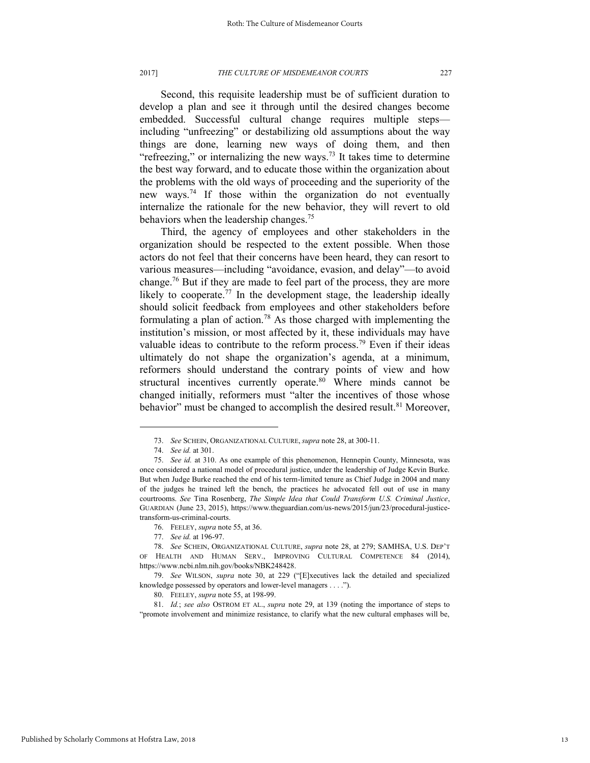Second, this requisite leadership must be of sufficient duration to develop a plan and see it through until the desired changes become embedded. Successful cultural change requires multiple steps including "unfreezing" or destabilizing old assumptions about the way things are done, learning new ways of doing them, and then "refreezing," or internalizing the new ways.<sup>73</sup> It takes time to determine the best way forward, and to educate those within the organization about the problems with the old ways of proceeding and the superiority of the new ways.<sup>74</sup> If those within the organization do not eventually internalize the rationale for the new behavior, they will revert to old behaviors when the leadership changes.<sup>75</sup>

Third, the agency of employees and other stakeholders in the organization should be respected to the extent possible. When those actors do not feel that their concerns have been heard, they can resort to various measures—including "avoidance, evasion, and delay"—to avoid change.<sup>76</sup> But if they are made to feel part of the process, they are more likely to cooperate.<sup>77</sup> In the development stage, the leadership ideally should solicit feedback from employees and other stakeholders before formulating a plan of action.<sup>78</sup> As those charged with implementing the institution's mission, or most affected by it, these individuals may have valuable ideas to contribute to the reform process.<sup>79</sup> Even if their ideas ultimately do not shape the organization's agenda, at a minimum, reformers should understand the contrary points of view and how structural incentives currently operate. $80 \text{ W}$  Where minds cannot be changed initially, reformers must "alter the incentives of those whose behavior" must be changed to accomplish the desired result.<sup>81</sup> Moreover,

<sup>73.</sup> *See* SCHEIN, ORGANIZATIONAL CULTURE, *supra* note 28, at 300-11.

<sup>74.</sup> *See id.* at 301.

<sup>75.</sup> *See id.* at 310. As one example of this phenomenon, Hennepin County, Minnesota, was once considered a national model of procedural justice, under the leadership of Judge Kevin Burke. But when Judge Burke reached the end of his term-limited tenure as Chief Judge in 2004 and many of the judges he trained left the bench, the practices he advocated fell out of use in many courtrooms. *See* Tina Rosenberg, *The Simple Idea that Could Transform U.S. Criminal Justice*, GUARDIAN (June 23, 2015), https://www.theguardian.com/us-news/2015/jun/23/procedural-justicetransform-us-criminal-courts.

<sup>76.</sup> FEELEY, *supra* note 55, at 36.

<sup>77.</sup> *See id.* at 196-97.

<sup>78.</sup> *See* SCHEIN, ORGANIZATIONAL CULTURE, *supra* note 28, at 279; SAMHSA, U.S. DEP'T OF HEALTH AND HUMAN SERV., IMPROVING CULTURAL COMPETENCE 84 (2014), https://www.ncbi.nlm.nih.gov/books/NBK248428.

<sup>79.</sup> *See* WILSON, *supra* note 30, at 229 ("[E]xecutives lack the detailed and specialized knowledge possessed by operators and lower-level managers . . . .").

<sup>80.</sup> FEELEY, *supra* note 55, at 198-99.

<sup>81.</sup> *Id.*; *see also* OSTROM ET AL., *supra* note 29, at 139 (noting the importance of steps to "promote involvement and minimize resistance, to clarify what the new cultural emphases will be,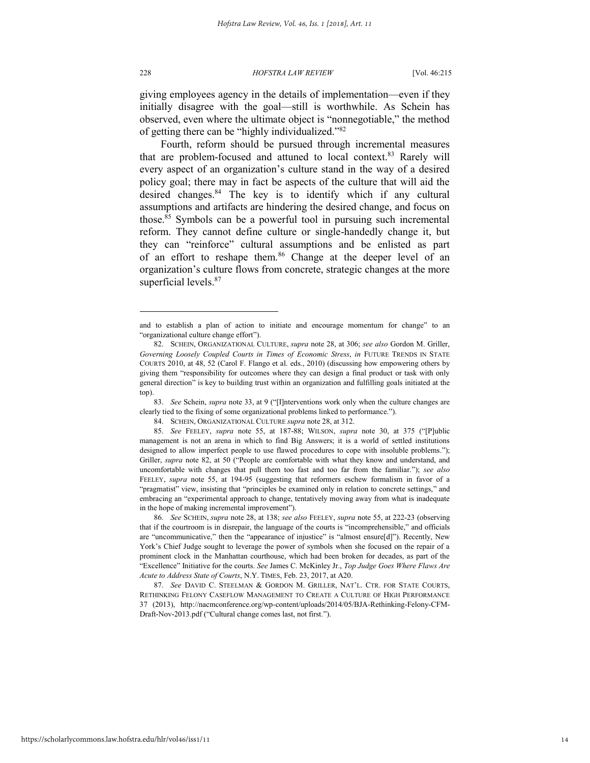228 *HOFSTRA LAW REVIEW* [Vol. 46:215

giving employees agency in the details of implementation—even if they initially disagree with the goal—still is worthwhile. As Schein has observed, even where the ultimate object is "nonnegotiable," the method of getting there can be "highly individualized."<sup>82</sup>

Fourth, reform should be pursued through incremental measures that are problem-focused and attuned to local context.<sup>83</sup> Rarely will every aspect of an organization's culture stand in the way of a desired policy goal; there may in fact be aspects of the culture that will aid the desired changes.<sup>84</sup> The key is to identify which if any cultural assumptions and artifacts are hindering the desired change, and focus on those.<sup>85</sup> Symbols can be a powerful tool in pursuing such incremental reform. They cannot define culture or single-handedly change it, but they can "reinforce" cultural assumptions and be enlisted as part of an effort to reshape them.<sup>86</sup> Change at the deeper level of an organization's culture flows from concrete, strategic changes at the more superficial levels.<sup>87</sup>

83. *See* Schein, *supra* note 33, at 9 ("[I]nterventions work only when the culture changes are clearly tied to the fixing of some organizational problems linked to performance.").

and to establish a plan of action to initiate and encourage momentum for change" to an "organizational culture change effort").

<sup>82.</sup> SCHEIN, ORGANIZATIONAL CULTURE, *supra* note 28, at 306; *see also* Gordon M. Griller, *Governing Loosely Coupled Courts in Times of Economic Stress*, *in* FUTURE TRENDS IN STATE COURTS 2010, at 48, 52 (Carol F. Flango et al. eds., 2010) (discussing how empowering others by giving them "responsibility for outcomes where they can design a final product or task with only general direction" is key to building trust within an organization and fulfilling goals initiated at the top).

<sup>84.</sup> SCHEIN, ORGANIZATIONAL CULTURE *supra* note 28, at 312.

<sup>85.</sup> *See* FEELEY, *supra* note 55, at 187-88; WILSON, *supra* note 30, at 375 ("[P]ublic management is not an arena in which to find Big Answers; it is a world of settled institutions designed to allow imperfect people to use flawed procedures to cope with insoluble problems."); Griller, *supra* note 82, at 50 ("People are comfortable with what they know and understand, and uncomfortable with changes that pull them too fast and too far from the familiar."); *see also*  FEELEY, *supra* note 55, at 194-95 (suggesting that reformers eschew formalism in favor of a "pragmatist" view, insisting that "principles be examined only in relation to concrete settings," and embracing an "experimental approach to change, tentatively moving away from what is inadequate in the hope of making incremental improvement").

<sup>86.</sup> *See* SCHEIN, *supra* note 28, at 138; *see also* FEELEY, *supra* note 55, at 222-23 (observing that if the courtroom is in disrepair, the language of the courts is "incomprehensible," and officials are "uncommunicative," then the "appearance of injustice" is "almost ensure[d]"). Recently, New York's Chief Judge sought to leverage the power of symbols when she focused on the repair of a prominent clock in the Manhattan courthouse, which had been broken for decades, as part of the "Excellence" Initiative for the courts. *See* James C. McKinley Jr., *Top Judge Goes Where Flaws Are Acute to Address State of Courts*, N.Y. TIMES, Feb. 23, 2017, at A20.

<sup>87.</sup> *See* DAVID C. STEELMAN & GORDON M. GRILLER, NAT'L. CTR. FOR STATE COURTS, RETHINKING FELONY CASEFLOW MANAGEMENT TO CREATE A CULTURE OF HIGH PERFORMANCE 37 (2013), http://nacmconference.org/wp-content/uploads/2014/05/BJA-Rethinking-Felony-CFM-Draft-Nov-2013.pdf ("Cultural change comes last, not first.").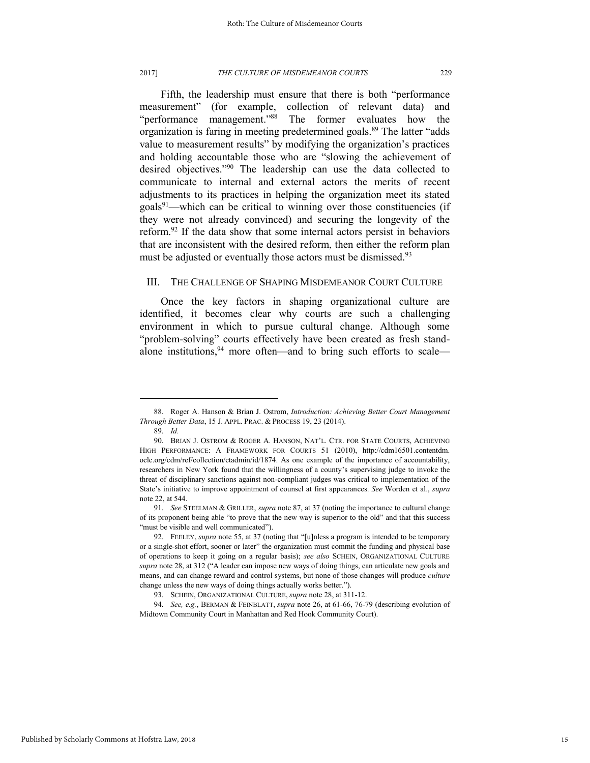#### 2017] *THE CULTURE OF MISDEMEANOR COURTS* 229

Fifth, the leadership must ensure that there is both "performance measurement" (for example, collection of relevant data) and "performance management."<sup>88</sup> The former evaluates how the organization is faring in meeting predetermined goals.<sup>89</sup> The latter "adds value to measurement results" by modifying the organization's practices and holding accountable those who are "slowing the achievement of desired objectives."<sup>90</sup> The leadership can use the data collected to communicate to internal and external actors the merits of recent adjustments to its practices in helping the organization meet its stated  $\text{goals}^{91}$ —which can be critical to winning over those constituencies (if they were not already convinced) and securing the longevity of the reform.<sup>92</sup> If the data show that some internal actors persist in behaviors that are inconsistent with the desired reform, then either the reform plan must be adjusted or eventually those actors must be dismissed.<sup>93</sup>

### III. THE CHALLENGE OF SHAPING MISDEMEANOR COURT CULTURE

Once the key factors in shaping organizational culture are identified, it becomes clear why courts are such a challenging environment in which to pursue cultural change. Although some "problem-solving" courts effectively have been created as fresh standalone institutions,  $94$  more often—and to bring such efforts to scale—

<sup>88.</sup> Roger A. Hanson & Brian J. Ostrom, *Introduction: Achieving Better Court Management Through Better Data*, 15 J. APPL. PRAC. & PROCESS 19, 23 (2014).

<sup>89.</sup> *Id.*

<sup>90.</sup> BRIAN J. OSTROM & ROGER A. HANSON, NAT'L. CTR. FOR STATE COURTS, ACHIEVING HIGH PERFORMANCE: A FRAMEWORK FOR COURTS 51 (2010), http://cdm16501.contentdm. oclc.org/cdm/ref/collection/ctadmin/id/1874. As one example of the importance of accountability, researchers in New York found that the willingness of a county's supervising judge to invoke the threat of disciplinary sanctions against non-compliant judges was critical to implementation of the State's initiative to improve appointment of counsel at first appearances. *See* Worden et al., *supra*  note 22, at 544.

<sup>91.</sup> *See* STEELMAN & GRILLER, *supra* note 87, at 37 (noting the importance to cultural change of its proponent being able "to prove that the new way is superior to the old" and that this success "must be visible and well communicated").

<sup>92.</sup> FEELEY, *supra* note 55, at 37 (noting that "[u]nless a program is intended to be temporary or a single-shot effort, sooner or later" the organization must commit the funding and physical base of operations to keep it going on a regular basis); *see also* SCHEIN, ORGANIZATIONAL CULTURE *supra* note 28, at 312 ("A leader can impose new ways of doing things, can articulate new goals and means, and can change reward and control systems, but none of those changes will produce *culture* change unless the new ways of doing things actually works better.").

<sup>93.</sup> SCHEIN, ORGANIZATIONAL CULTURE, *supra* note 28, at 311-12.

<sup>94.</sup> *See, e.g.*, BERMAN & FEINBLATT, *supra* note 26, at 61-66, 76-79 (describing evolution of Midtown Community Court in Manhattan and Red Hook Community Court).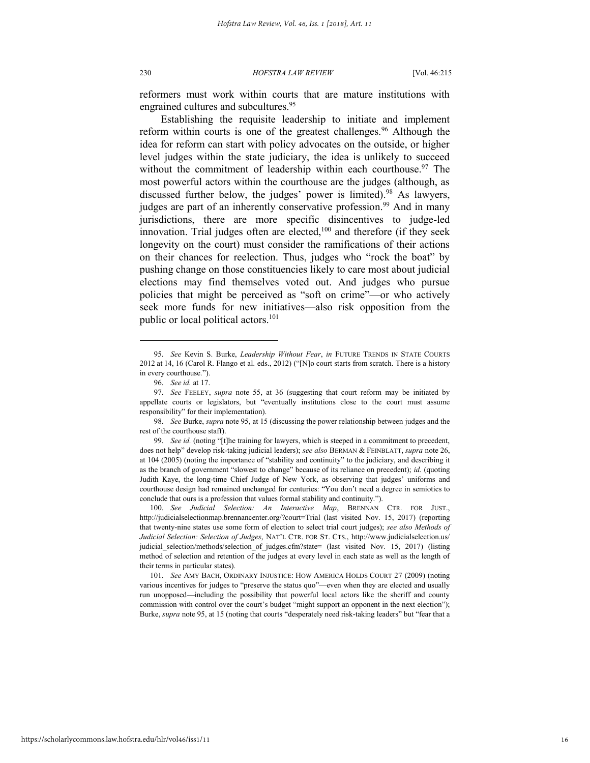reformers must work within courts that are mature institutions with engrained cultures and subcultures.<sup>95</sup>

Establishing the requisite leadership to initiate and implement reform within courts is one of the greatest challenges.<sup>96</sup> Although the idea for reform can start with policy advocates on the outside, or higher level judges within the state judiciary, the idea is unlikely to succeed without the commitment of leadership within each courthouse.<sup>97</sup> The most powerful actors within the courthouse are the judges (although, as discussed further below, the judges' power is limited).<sup>98</sup> As lawyers, judges are part of an inherently conservative profession.<sup>99</sup> And in many jurisdictions, there are more specific disincentives to judge-led innovation. Trial judges often are elected, $100$  and therefore (if they seek longevity on the court) must consider the ramifications of their actions on their chances for reelection. Thus, judges who "rock the boat" by pushing change on those constituencies likely to care most about judicial elections may find themselves voted out. And judges who pursue policies that might be perceived as "soft on crime"—or who actively seek more funds for new initiatives—also risk opposition from the public or local political actors.<sup>101</sup>

l

100. *See Judicial Selection: An Interactive Map*, BRENNAN CTR. FOR JUST., http://judicialselectionmap.brennancenter.org/?court=Trial (last visited Nov. 15, 2017) (reporting that twenty-nine states use some form of election to select trial court judges); *see also Methods of Judicial Selection: Selection of Judges*, NAT'L CTR. FOR ST. CTS., http://www.judicialselection.us/ judicial\_selection/methods/selection\_of\_judges.cfm?state= (last visited Nov. 15, 2017) (listing method of selection and retention of the judges at every level in each state as well as the length of their terms in particular states).

101. *See* AMY BACH, ORDINARY INJUSTICE: HOW AMERICA HOLDS COURT 27 (2009) (noting various incentives for judges to "preserve the status quo"—even when they are elected and usually run unopposed—including the possibility that powerful local actors like the sheriff and county commission with control over the court's budget "might support an opponent in the next election"); Burke, *supra* note 95, at 15 (noting that courts "desperately need risk-taking leaders" but "fear that a

<sup>95.</sup> *See* Kevin S. Burke, *Leadership Without Fear*, *in* FUTURE TRENDS IN STATE COURTS 2012 at 14, 16 (Carol R. Flango et al. eds., 2012) ("[N]o court starts from scratch. There is a history in every courthouse.").

<sup>96.</sup> *See id.* at 17.

<sup>97.</sup> *See* FEELEY, *supra* note 55, at 36 (suggesting that court reform may be initiated by appellate courts or legislators, but "eventually institutions close to the court must assume responsibility" for their implementation).

<sup>98.</sup> *See* Burke, *supra* note 95, at 15 (discussing the power relationship between judges and the rest of the courthouse staff).

<sup>99.</sup> *See id.* (noting "[t]he training for lawyers, which is steeped in a commitment to precedent, does not help" develop risk-taking judicial leaders); *see also* BERMAN & FEINBLATT, *supra* note 26, at 104 (2005) (noting the importance of "stability and continuity" to the judiciary, and describing it as the branch of government "slowest to change" because of its reliance on precedent); *id.* (quoting Judith Kaye, the long-time Chief Judge of New York, as observing that judges' uniforms and courthouse design had remained unchanged for centuries: "You don't need a degree in semiotics to conclude that ours is a profession that values formal stability and continuity.").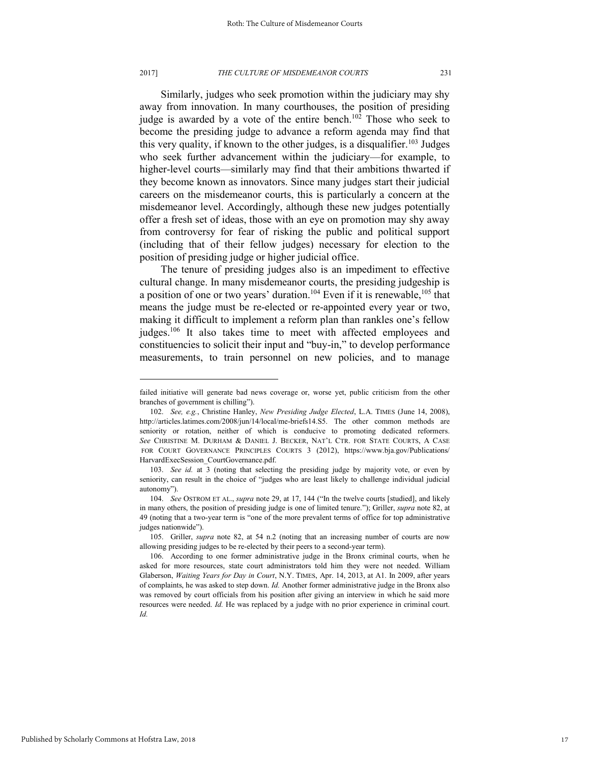#### 2017] *THE CULTURE OF MISDEMEANOR COURTS* 231

Similarly, judges who seek promotion within the judiciary may shy away from innovation. In many courthouses, the position of presiding judge is awarded by a vote of the entire bench.<sup>102</sup> Those who seek to become the presiding judge to advance a reform agenda may find that this very quality, if known to the other judges, is a disqualifier.<sup>103</sup> Judges who seek further advancement within the judiciary—for example, to higher-level courts—similarly may find that their ambitions thwarted if they become known as innovators. Since many judges start their judicial careers on the misdemeanor courts, this is particularly a concern at the misdemeanor level. Accordingly, although these new judges potentially offer a fresh set of ideas, those with an eye on promotion may shy away from controversy for fear of risking the public and political support (including that of their fellow judges) necessary for election to the position of presiding judge or higher judicial office.

The tenure of presiding judges also is an impediment to effective cultural change. In many misdemeanor courts, the presiding judgeship is a position of one or two years' duration.<sup>104</sup> Even if it is renewable,<sup>105</sup> that means the judge must be re-elected or re-appointed every year or two, making it difficult to implement a reform plan than rankles one's fellow judges.<sup>106</sup> It also takes time to meet with affected employees and constituencies to solicit their input and "buy-in," to develop performance measurements, to train personnel on new policies, and to manage

failed initiative will generate bad news coverage or, worse yet, public criticism from the other branches of government is chilling").

<sup>102.</sup> *See, e.g.*, Christine Hanley, *New Presiding Judge Elected*, L.A. TIMES (June 14, 2008), http://articles.latimes.com/2008/jun/14/local/me-briefs14.S5. The other common methods are seniority or rotation, neither of which is conducive to promoting dedicated reformers. *See* CHRISTINE M. DURHAM & DANIEL J. BECKER, NAT'L CTR. FOR STATE COURTS, A CASE FOR COURT GOVERNANCE PRINCIPLES COURTS 3 (2012), https://www.bja.gov/Publications/ HarvardExecSession\_CourtGovernance.pdf.

<sup>103.</sup> *See id.* at 3 (noting that selecting the presiding judge by majority vote, or even by seniority, can result in the choice of "judges who are least likely to challenge individual judicial autonomy").

<sup>104.</sup> *See* OSTROM ET AL., *supra* note 29, at 17, 144 ("In the twelve courts [studied], and likely in many others, the position of presiding judge is one of limited tenure."); Griller, *supra* note 82, at 49 (noting that a two-year term is "one of the more prevalent terms of office for top administrative judges nationwide").

<sup>105.</sup> Griller, *supra* note 82, at 54 n.2 (noting that an increasing number of courts are now allowing presiding judges to be re-elected by their peers to a second-year term).

<sup>106.</sup> According to one former administrative judge in the Bronx criminal courts, when he asked for more resources, state court administrators told him they were not needed. William Glaberson, *Waiting Years for Day in Court*, N.Y. TIMES, Apr. 14, 2013, at A1. In 2009, after years of complaints, he was asked to step down. *Id.* Another former administrative judge in the Bronx also was removed by court officials from his position after giving an interview in which he said more resources were needed. *Id.* He was replaced by a judge with no prior experience in criminal court. *Id.*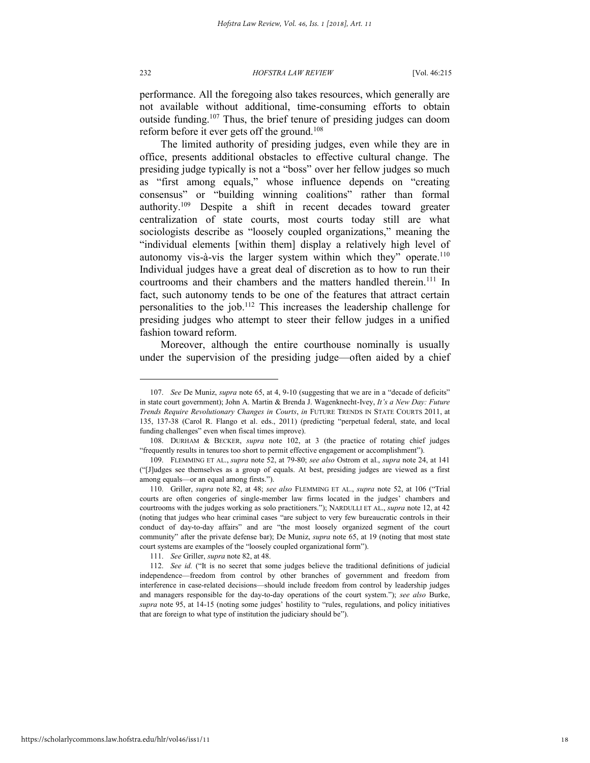performance. All the foregoing also takes resources, which generally are not available without additional, time-consuming efforts to obtain outside funding.<sup>107</sup> Thus, the brief tenure of presiding judges can doom reform before it ever gets off the ground.<sup>108</sup>

The limited authority of presiding judges, even while they are in office, presents additional obstacles to effective cultural change. The presiding judge typically is not a "boss" over her fellow judges so much as "first among equals," whose influence depends on "creating consensus" or "building winning coalitions" rather than formal authority.<sup>109</sup> Despite a shift in recent decades toward greater centralization of state courts, most courts today still are what sociologists describe as "loosely coupled organizations," meaning the "individual elements [within them] display a relatively high level of autonomy vis-à-vis the larger system within which they" operate.<sup>110</sup> Individual judges have a great deal of discretion as to how to run their courtrooms and their chambers and the matters handled therein.<sup>111</sup> In fact, such autonomy tends to be one of the features that attract certain personalities to the job.<sup>112</sup> This increases the leadership challenge for presiding judges who attempt to steer their fellow judges in a unified fashion toward reform.

Moreover, although the entire courthouse nominally is usually under the supervision of the presiding judge—often aided by a chief

111. *See* Griller, *supra* note 82, at 48.

<sup>107.</sup> *See* De Muniz, *supra* note 65, at 4, 9-10 (suggesting that we are in a "decade of deficits" in state court government); John A. Martin & Brenda J. Wagenknecht-Ivey, *It's a New Day: Future Trends Require Revolutionary Changes in Courts*, *in* FUTURE TRENDS IN STATE COURTS 2011, at 135, 137-38 (Carol R. Flango et al. eds., 2011) (predicting "perpetual federal, state, and local funding challenges" even when fiscal times improve).

<sup>108.</sup> DURHAM & BECKER, *supra* note 102, at 3 (the practice of rotating chief judges "frequently results in tenures too short to permit effective engagement or accomplishment").

<sup>109.</sup> FLEMMING ET AL., *supra* note 52, at 79-80; *see also* Ostrom et al., *supra* note 24, at 141 ("[J]udges see themselves as a group of equals. At best, presiding judges are viewed as a first among equals—or an equal among firsts.").

<sup>110.</sup> Griller, *supra* note 82, at 48; *see also* FLEMMING ET AL., *supra* note 52, at 106 ("Trial courts are often congeries of single-member law firms located in the judges' chambers and courtrooms with the judges working as solo practitioners."); NARDULLI ET AL., *supra* note 12, at 42 (noting that judges who hear criminal cases "are subject to very few bureaucratic controls in their conduct of day-to-day affairs" and are "the most loosely organized segment of the court community" after the private defense bar); De Muniz, *supra* note 65, at 19 (noting that most state court systems are examples of the "loosely coupled organizational form").

<sup>112.</sup> *See id.* ("It is no secret that some judges believe the traditional definitions of judicial independence—freedom from control by other branches of government and freedom from interference in case-related decisions—should include freedom from control by leadership judges and managers responsible for the day-to-day operations of the court system."); *see also* Burke, *supra* note 95, at 14-15 (noting some judges' hostility to "rules, regulations, and policy initiatives that are foreign to what type of institution the judiciary should be").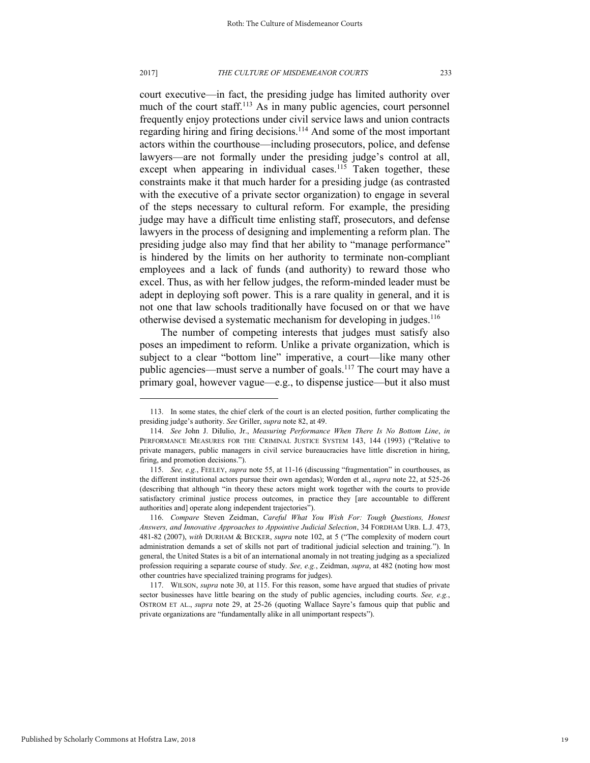#### 2017] *THE CULTURE OF MISDEMEANOR COURTS* 233

court executive—in fact, the presiding judge has limited authority over much of the court staff.<sup>113</sup> As in many public agencies, court personnel frequently enjoy protections under civil service laws and union contracts regarding hiring and firing decisions.<sup>114</sup> And some of the most important actors within the courthouse—including prosecutors, police, and defense lawyers—are not formally under the presiding judge's control at all, except when appearing in individual cases.<sup>115</sup> Taken together, these constraints make it that much harder for a presiding judge (as contrasted with the executive of a private sector organization) to engage in several of the steps necessary to cultural reform. For example, the presiding judge may have a difficult time enlisting staff, prosecutors, and defense lawyers in the process of designing and implementing a reform plan. The presiding judge also may find that her ability to "manage performance" is hindered by the limits on her authority to terminate non-compliant employees and a lack of funds (and authority) to reward those who excel. Thus, as with her fellow judges, the reform-minded leader must be adept in deploying soft power. This is a rare quality in general, and it is not one that law schools traditionally have focused on or that we have otherwise devised a systematic mechanism for developing in judges.<sup>116</sup>

The number of competing interests that judges must satisfy also poses an impediment to reform. Unlike a private organization, which is subject to a clear "bottom line" imperative, a court—like many other public agencies—must serve a number of goals.<sup>117</sup> The court may have a primary goal, however vague—e.g., to dispense justice—but it also must

<sup>113.</sup> In some states, the chief clerk of the court is an elected position, further complicating the presiding judge's authority. *See* Griller, *supra* note 82, at 49.

<sup>114.</sup> *See* John J. DiIulio, Jr., *Measuring Performance When There Is No Bottom Line*, *in* PERFORMANCE MEASURES FOR THE CRIMINAL JUSTICE SYSTEM 143, 144 (1993) ("Relative to private managers, public managers in civil service bureaucracies have little discretion in hiring, firing, and promotion decisions.").

<sup>115.</sup> *See, e.g.*, FEELEY, *supra* note 55, at 11-16 (discussing "fragmentation" in courthouses, as the different institutional actors pursue their own agendas); Worden et al., *supra* note 22, at 525-26 (describing that although "in theory these actors might work together with the courts to provide satisfactory criminal justice process outcomes, in practice they [are accountable to different authorities and] operate along independent trajectories").

<sup>116.</sup> *Compare* Steven Zeidman, *Careful What You Wish For: Tough Questions, Honest Answers, and Innovative Approaches to Appointive Judicial Selection*, 34 FORDHAM URB. L.J. 473, 481-82 (2007), *with* DURHAM & BECKER, *supra* note 102, at 5 ("The complexity of modern court administration demands a set of skills not part of traditional judicial selection and training."). In general, the United States is a bit of an international anomaly in not treating judging as a specialized profession requiring a separate course of study. *See, e.g.*, Zeidman, *supra*, at 482 (noting how most other countries have specialized training programs for judges).

<sup>117.</sup> WILSON, *supra* note 30, at 115. For this reason, some have argued that studies of private sector businesses have little bearing on the study of public agencies, including courts. *See, e.g.*, OSTROM ET AL., *supra* note 29, at 25-26 (quoting Wallace Sayre's famous quip that public and private organizations are "fundamentally alike in all unimportant respects").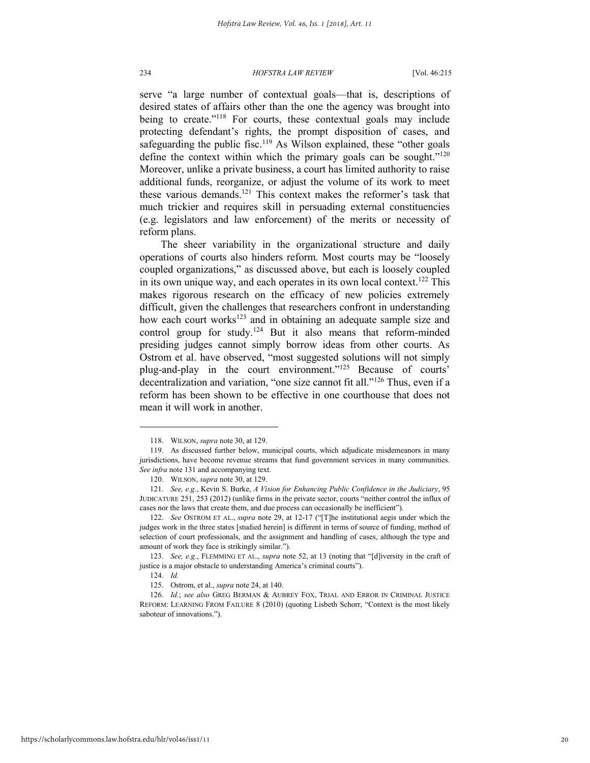serve "a large number of contextual goals—that is, descriptions of desired states of affairs other than the one the agency was brought into being to create."<sup>118</sup> For courts, these contextual goals may include protecting defendant's rights, the prompt disposition of cases, and safeguarding the public fisc.<sup>119</sup> As Wilson explained, these "other goals" define the context within which the primary goals can be sought." $120$ Moreover, unlike a private business, a court has limited authority to raise additional funds, reorganize, or adjust the volume of its work to meet these various demands.<sup>121</sup> This context makes the reformer's task that much trickier and requires skill in persuading external constituencies (e.g. legislators and law enforcement) of the merits or necessity of reform plans.

The sheer variability in the organizational structure and daily operations of courts also hinders reform. Most courts may be "loosely coupled organizations," as discussed above, but each is loosely coupled in its own unique way, and each operates in its own local context.<sup>122</sup> This makes rigorous research on the efficacy of new policies extremely difficult, given the challenges that researchers confront in understanding how each court works<sup>123</sup> and in obtaining an adequate sample size and control group for study.<sup>124</sup> But it also means that reform-minded presiding judges cannot simply borrow ideas from other courts. As Ostrom et al. have observed, "most suggested solutions will not simply plug-and-play in the court environment."<sup>125</sup> Because of courts' decentralization and variation, "one size cannot fit all."<sup>126</sup> Thus, even if a reform has been shown to be effective in one courthouse that does not mean it will work in another.

<sup>118.</sup> WILSON, *supra* note 30, at 129.

<sup>119.</sup> As discussed further below, municipal courts, which adjudicate misdemeanors in many jurisdictions, have become revenue streams that fund government services in many communities. *See infra* note 131 and accompanying text.

<sup>120.</sup> WILSON, *supra* note 30, at 129.

<sup>121.</sup> *See, e.g.*, Kevin S. Burke, *A Vision for Enhancing Public Confidence in the Judiciary*, 95 JUDICATURE 251, 253 (2012) (unlike firms in the private sector, courts "neither control the influx of cases nor the laws that create them, and due process can occasionally be inefficient").

<sup>122.</sup> *See* OSTROM ET AL., *supra* note 29, at 12-17 ("[T]he institutional aegis under which the judges work in the three states [studied herein] is different in terms of source of funding, method of selection of court professionals, and the assignment and handling of cases, although the type and amount of work they face is strikingly similar.").

<sup>123.</sup> *See, e.g.*, FLEMMING ET AL., *supra* note 52, at 13 (noting that "[d]iversity in the craft of justice is a major obstacle to understanding America's criminal courts").

<sup>124.</sup> *Id.* 

<sup>125.</sup> Ostrom, et al., *supra* note 24, at 140.

<sup>126.</sup> *Id.*; *see also* GREG BERMAN & AUBREY FOX, TRIAL AND ERROR IN CRIMINAL JUSTICE REFORM: LEARNING FROM FAILURE 8 (2010) (quoting Lisbeth Schorr, "Context is the most likely saboteur of innovations.").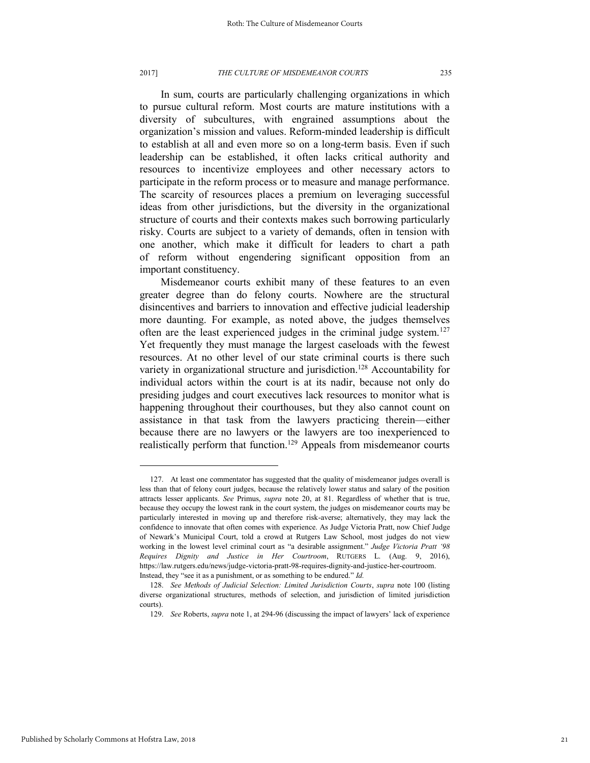#### 2017] *THE CULTURE OF MISDEMEANOR COURTS* 235

In sum, courts are particularly challenging organizations in which to pursue cultural reform. Most courts are mature institutions with a diversity of subcultures, with engrained assumptions about the organization's mission and values. Reform-minded leadership is difficult to establish at all and even more so on a long-term basis. Even if such leadership can be established, it often lacks critical authority and resources to incentivize employees and other necessary actors to participate in the reform process or to measure and manage performance. The scarcity of resources places a premium on leveraging successful ideas from other jurisdictions, but the diversity in the organizational structure of courts and their contexts makes such borrowing particularly risky. Courts are subject to a variety of demands, often in tension with one another, which make it difficult for leaders to chart a path of reform without engendering significant opposition from an important constituency.

Misdemeanor courts exhibit many of these features to an even greater degree than do felony courts. Nowhere are the structural disincentives and barriers to innovation and effective judicial leadership more daunting. For example, as noted above, the judges themselves often are the least experienced judges in the criminal judge system.<sup>127</sup> Yet frequently they must manage the largest caseloads with the fewest resources. At no other level of our state criminal courts is there such variety in organizational structure and jurisdiction.<sup>128</sup> Accountability for individual actors within the court is at its nadir, because not only do presiding judges and court executives lack resources to monitor what is happening throughout their courthouses, but they also cannot count on assistance in that task from the lawyers practicing therein—either because there are no lawyers or the lawyers are too inexperienced to realistically perform that function.<sup>129</sup> Appeals from misdemeanor courts

<sup>127.</sup> At least one commentator has suggested that the quality of misdemeanor judges overall is less than that of felony court judges, because the relatively lower status and salary of the position attracts lesser applicants. *See* Primus, *supra* note 20, at 81. Regardless of whether that is true, because they occupy the lowest rank in the court system, the judges on misdemeanor courts may be particularly interested in moving up and therefore risk-averse; alternatively, they may lack the confidence to innovate that often comes with experience. As Judge Victoria Pratt, now Chief Judge of Newark's Municipal Court, told a crowd at Rutgers Law School, most judges do not view working in the lowest level criminal court as "a desirable assignment." *Judge Victoria Pratt '98 Requires Dignity and Justice in Her Courtroom*, RUTGERS L. (Aug. 9, 2016), https://law.rutgers.edu/news/judge-victoria-pratt-98-requires-dignity-and-justice-her-courtroom. Instead, they "see it as a punishment, or as something to be endured." *Id.*

<sup>128.</sup> *See Methods of Judicial Selection: Limited Jurisdiction Courts*, *supra* note 100 (listing diverse organizational structures, methods of selection, and jurisdiction of limited jurisdiction courts).

<sup>129.</sup> *See* Roberts, *supra* note 1, at 294-96 (discussing the impact of lawyers' lack of experience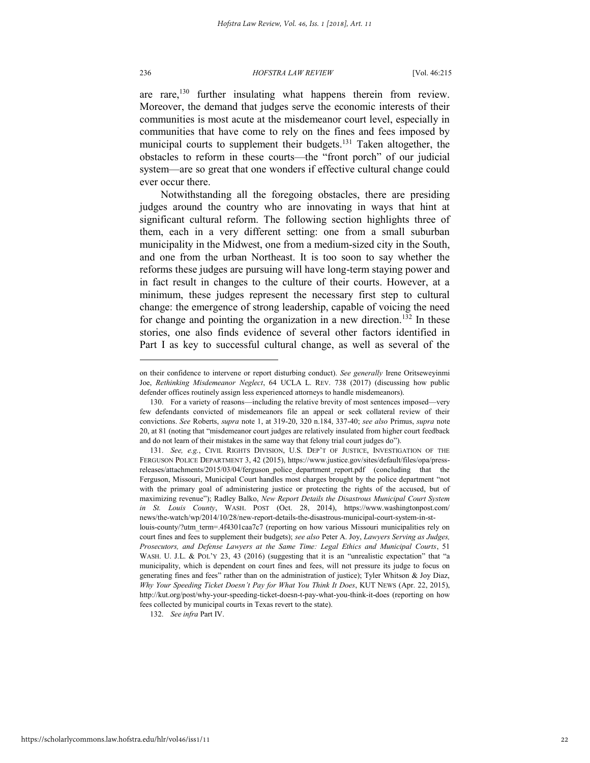#### 236 *HOFSTRA LAW REVIEW* [Vol. 46:215

are rare,<sup>130</sup> further insulating what happens therein from review. Moreover, the demand that judges serve the economic interests of their communities is most acute at the misdemeanor court level, especially in communities that have come to rely on the fines and fees imposed by municipal courts to supplement their budgets.<sup>131</sup> Taken altogether, the obstacles to reform in these courts—the "front porch" of our judicial system—are so great that one wonders if effective cultural change could ever occur there.

Notwithstanding all the foregoing obstacles, there are presiding judges around the country who are innovating in ways that hint at significant cultural reform. The following section highlights three of them, each in a very different setting: one from a small suburban municipality in the Midwest, one from a medium-sized city in the South, and one from the urban Northeast. It is too soon to say whether the reforms these judges are pursuing will have long-term staying power and in fact result in changes to the culture of their courts. However, at a minimum, these judges represent the necessary first step to cultural change: the emergence of strong leadership, capable of voicing the need for change and pointing the organization in a new direction.<sup>132</sup> In these stories, one also finds evidence of several other factors identified in Part I as key to successful cultural change, as well as several of the

132. *See infra* Part IV.

on their confidence to intervene or report disturbing conduct). *See generally* Irene Oritseweyinmi Joe, *Rethinking Misdemeanor Neglect*, 64 UCLA L. REV. 738 (2017) (discussing how public defender offices routinely assign less experienced attorneys to handle misdemeanors).

<sup>130.</sup> For a variety of reasons—including the relative brevity of most sentences imposed—very few defendants convicted of misdemeanors file an appeal or seek collateral review of their convictions. *See* Roberts, *supra* note 1, at 319-20, 320 n.184, 337-40; *see also* Primus, *supra* note 20, at 81 (noting that "misdemeanor court judges are relatively insulated from higher court feedback and do not learn of their mistakes in the same way that felony trial court judges do").

<sup>131.</sup> *See, e.g.*, CIVIL RIGHTS DIVISION, U.S. DEP'T OF JUSTICE, INVESTIGATION OF THE FERGUSON POLICE DEPARTMENT 3, 42 (2015), https://www.justice.gov/sites/default/files/opa/pressreleases/attachments/2015/03/04/ferguson\_police\_department\_report.pdf (concluding that the Ferguson, Missouri, Municipal Court handles most charges brought by the police department "not with the primary goal of administering justice or protecting the rights of the accused, but of maximizing revenue"); Radley Balko, *New Report Details the Disastrous Municipal Court System in St. Louis County*, WASH. POST (Oct. 28, 2014), https://www.washingtonpost.com/ news/the-watch/wp/2014/10/28/new-report-details-the-disastrous-municipal-court-system-in-stlouis-county/?utm\_term=.4f4301caa7c7 (reporting on how various Missouri municipalities rely on court fines and fees to supplement their budgets); *see also* Peter A. Joy, *Lawyers Serving as Judges, Prosecutors, and Defense Lawyers at the Same Time: Legal Ethics and Municipal Courts*, 51 WASH. U. J.L. & POL'Y 23, 43 (2016) (suggesting that it is an "unrealistic expectation" that "a municipality, which is dependent on court fines and fees, will not pressure its judge to focus on generating fines and fees" rather than on the administration of justice); Tyler Whitson & Joy Diaz, *Why Your Speeding Ticket Doesn't Pay for What You Think It Does*, KUT NEWS (Apr. 22, 2015), http://kut.org/post/why-your-speeding-ticket-doesn-t-pay-what-you-think-it-does (reporting on how fees collected by municipal courts in Texas revert to the state).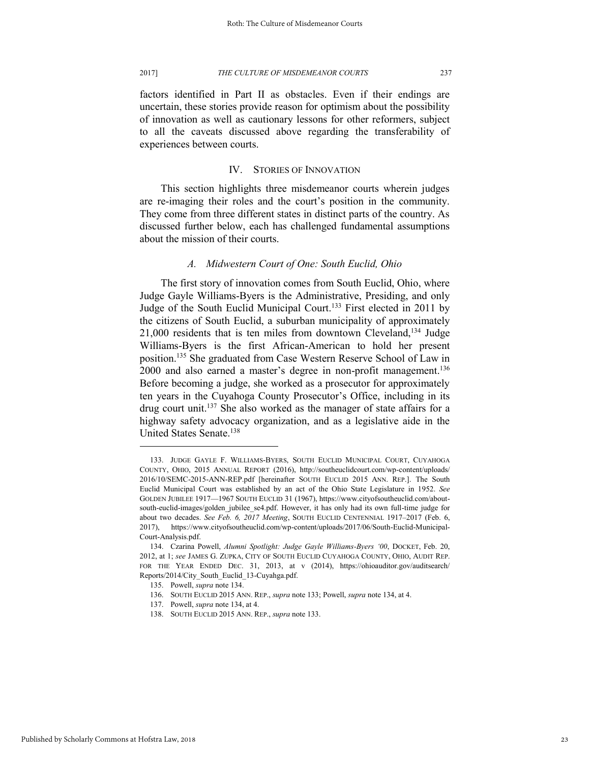factors identified in Part II as obstacles. Even if their endings are uncertain, these stories provide reason for optimism about the possibility of innovation as well as cautionary lessons for other reformers, subject to all the caveats discussed above regarding the transferability of experiences between courts.

### IV. STORIES OF INNOVATION

This section highlights three misdemeanor courts wherein judges are re-imaging their roles and the court's position in the community. They come from three different states in distinct parts of the country. As discussed further below, each has challenged fundamental assumptions about the mission of their courts.

### *A. Midwestern Court of One: South Euclid, Ohio*

The first story of innovation comes from South Euclid, Ohio, where Judge Gayle Williams-Byers is the Administrative, Presiding, and only Judge of the South Euclid Municipal Court.<sup>133</sup> First elected in 2011 by the citizens of South Euclid, a suburban municipality of approximately 21,000 residents that is ten miles from downtown Cleveland,<sup>134</sup> Judge Williams-Byers is the first African-American to hold her present position.<sup>135</sup> She graduated from Case Western Reserve School of Law in  $2000$  and also earned a master's degree in non-profit management.<sup>136</sup> Before becoming a judge, she worked as a prosecutor for approximately ten years in the Cuyahoga County Prosecutor's Office, including in its drug court unit.<sup>137</sup> She also worked as the manager of state affairs for a highway safety advocacy organization, and as a legislative aide in the United States Senate.<sup>138</sup>

<sup>133.</sup> JUDGE GAYLE F. WILLIAMS-BYERS, SOUTH EUCLID MUNICIPAL COURT, CUYAHOGA COUNTY, OHIO, 2015 ANNUAL REPORT (2016), http://southeuclidcourt.com/wp-content/uploads/ 2016/10/SEMC-2015-ANN-REP.pdf [hereinafter SOUTH EUCLID 2015 ANN. REP.]. The South Euclid Municipal Court was established by an act of the Ohio State Legislature in 1952. *See* GOLDEN JUBILEE 1917—1967 SOUTH EUCLID 31 (1967), https://www.cityofsoutheuclid.com/aboutsouth-euclid-images/golden\_jubilee\_se4.pdf. However, it has only had its own full-time judge for about two decades. *See Feb. 6, 2017 Meeting*, SOUTH EUCLID CENTENNIAL 1917–2017 (Feb. 6, 2017), https://www.cityofsoutheuclid.com/wp-content/uploads/2017/06/South-Euclid-Municipal-Court-Analysis.pdf.

<sup>134.</sup> Czarina Powell, *Alumni Spotlight: Judge Gayle Williams-Byers '00*, DOCKET, Feb. 20, 2012, at 1; *see* JAMES G. ZUPKA, CITY OF SOUTH EUCLID CUYAHOGA COUNTY, OHIO, AUDIT REP. FOR THE YEAR ENDED DEC. 31, 2013, at v (2014), https://ohioauditor.gov/auditsearch/ Reports/2014/City\_South\_Euclid\_13-Cuyahga.pdf.

<sup>135.</sup> Powell, *supra* note 134.

<sup>136.</sup> SOUTH EUCLID 2015 ANN. REP., *supra* note 133; Powell, *supra* note 134, at 4.

<sup>137.</sup> Powell, *supra* note 134, at 4.

<sup>138.</sup> SOUTH EUCLID 2015 ANN. REP., *supra* note 133.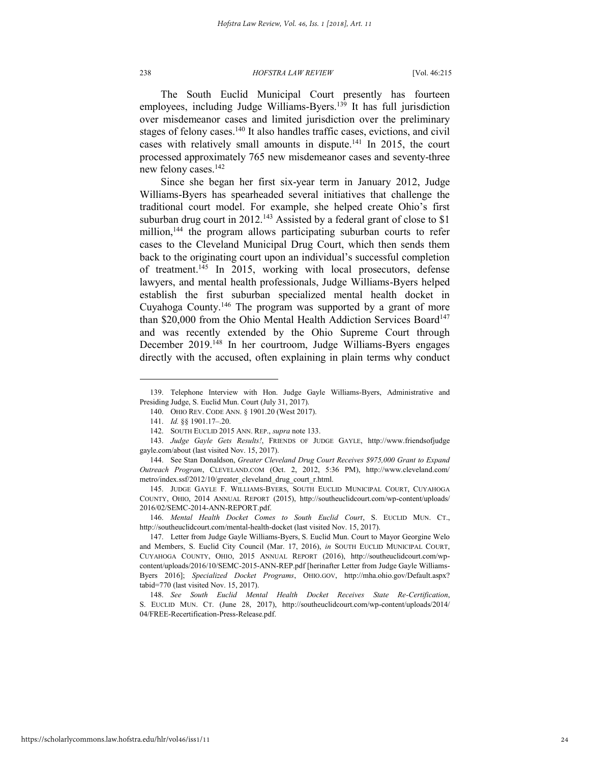The South Euclid Municipal Court presently has fourteen employees, including Judge Williams-Byers.<sup>139</sup> It has full jurisdiction over misdemeanor cases and limited jurisdiction over the preliminary stages of felony cases.<sup>140</sup> It also handles traffic cases, evictions, and civil cases with relatively small amounts in dispute.<sup>141</sup> In 2015, the court processed approximately 765 new misdemeanor cases and seventy-three new felony cases.<sup>142</sup>

Since she began her first six-year term in January 2012, Judge Williams-Byers has spearheaded several initiatives that challenge the traditional court model. For example, she helped create Ohio's first suburban drug court in 2012.<sup>143</sup> Assisted by a federal grant of close to \$1 million,<sup>144</sup> the program allows participating suburban courts to refer cases to the Cleveland Municipal Drug Court, which then sends them back to the originating court upon an individual's successful completion of treatment.<sup>145</sup> In 2015, working with local prosecutors, defense lawyers, and mental health professionals, Judge Williams-Byers helped establish the first suburban specialized mental health docket in Cuyahoga County.<sup>146</sup> The program was supported by a grant of more than \$20,000 from the Ohio Mental Health Addiction Services Board<sup>147</sup> and was recently extended by the Ohio Supreme Court through December 2019.<sup>148</sup> In her courtroom, Judge Williams-Byers engages directly with the accused, often explaining in plain terms why conduct

<sup>139.</sup> Telephone Interview with Hon. Judge Gayle Williams-Byers, Administrative and Presiding Judge, S. Euclid Mun. Court (July 31, 2017).

<sup>140.</sup> OHIO REV. CODE ANN. § 1901.20 (West 2017).

<sup>141.</sup> *Id.* §§ 1901.17–.20.

<sup>142.</sup> SOUTH EUCLID 2015 ANN. REP., *supra* note 133.

<sup>143.</sup> *Judge Gayle Gets Results!*, FRIENDS OF JUDGE GAYLE, http://www.friendsofjudge gayle.com/about (last visited Nov. 15, 2017).

<sup>144.</sup> See Stan Donaldson, *Greater Cleveland Drug Court Receives \$975,000 Grant to Expand Outreach Program*, CLEVELAND.COM (Oct. 2, 2012, 5:36 PM), http://www.cleveland.com/ metro/index.ssf/2012/10/greater\_cleveland\_drug\_court\_r.html.

<sup>145.</sup> JUDGE GAYLE F. WILLIAMS-BYERS, SOUTH EUCLID MUNICIPAL COURT, CUYAHOGA COUNTY, OHIO, 2014 ANNUAL REPORT (2015), http://southeuclidcourt.com/wp-content/uploads/ 2016/02/SEMC-2014-ANN-REPORT.pdf.

<sup>146.</sup> *Mental Health Docket Comes to South Euclid Court*, S. EUCLID MUN. CT., http://southeuclidcourt.com/mental-health-docket (last visited Nov. 15, 2017).

<sup>147.</sup> Letter from Judge Gayle Williams-Byers, S. Euclid Mun. Court to Mayor Georgine Welo and Members, S. Euclid City Council (Mar. 17, 2016), *in* SOUTH EUCLID MUNICIPAL COURT, CUYAHOGA COUNTY, OHIO, 2015 ANNUAL REPORT (2016), http://southeuclidcourt.com/wpcontent/uploads/2016/10/SEMC-2015-ANN-REP.pdf [herinafter Letter from Judge Gayle Williams-Byers 2016]; *Specialized Docket Programs*, OHIO.GOV, http://mha.ohio.gov/Default.aspx? tabid=770 (last visited Nov. 15, 2017).

<sup>148.</sup> *See South Euclid Mental Health Docket Receives State Re-Certification*, S. EUCLID MUN. CT. (June 28, 2017), http://southeuclidcourt.com/wp-content/uploads/2014/ 04/FREE-Recertification-Press-Release.pdf.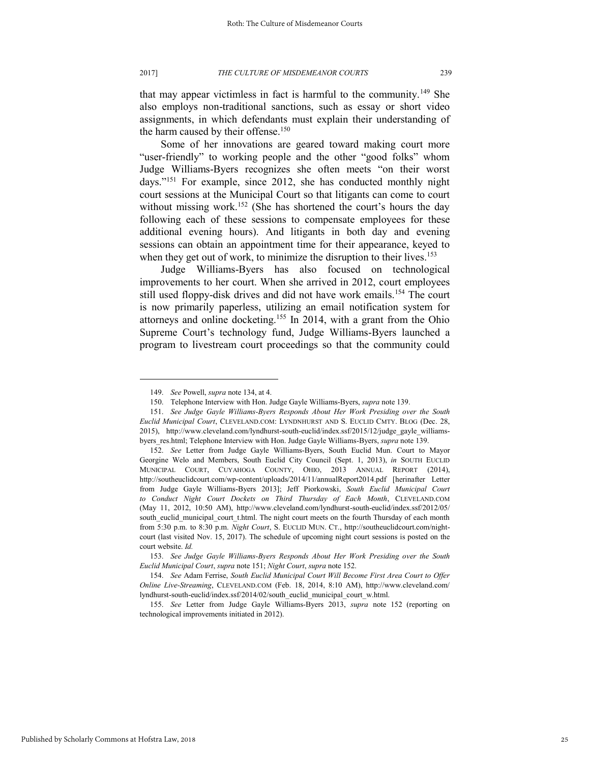that may appear victimless in fact is harmful to the community.<sup>149</sup> She also employs non-traditional sanctions, such as essay or short video assignments, in which defendants must explain their understanding of the harm caused by their offense.<sup>150</sup>

Some of her innovations are geared toward making court more "user-friendly" to working people and the other "good folks" whom Judge Williams-Byers recognizes she often meets "on their worst days."<sup>151</sup> For example, since 2012, she has conducted monthly night court sessions at the Municipal Court so that litigants can come to court without missing work.<sup>152</sup> (She has shortened the court's hours the day following each of these sessions to compensate employees for these additional evening hours). And litigants in both day and evening sessions can obtain an appointment time for their appearance, keyed to when they get out of work, to minimize the disruption to their lives.<sup>153</sup>

Judge Williams-Byers has also focused on technological improvements to her court. When she arrived in 2012, court employees still used floppy-disk drives and did not have work emails.<sup>154</sup> The court is now primarily paperless, utilizing an email notification system for attorneys and online docketing.<sup>155</sup> In 2014, with a grant from the Ohio Supreme Court's technology fund, Judge Williams-Byers launched a program to livestream court proceedings so that the community could

<sup>149.</sup> *See* Powell, *supra* note 134, at 4.

<sup>150.</sup> Telephone Interview with Hon. Judge Gayle Williams-Byers, *supra* note 139.

<sup>151.</sup> *See Judge Gayle Williams-Byers Responds About Her Work Presiding over the South Euclid Municipal Court*, CLEVELAND.COM: LYNDNHURST AND S. EUCLID CMTY. BLOG (Dec. 28, 2015), http://www.cleveland.com/lyndhurst-south-euclid/index.ssf/2015/12/judge\_gayle\_williamsbyers\_res.html; Telephone Interview with Hon. Judge Gayle Williams-Byers, *supra* note 139.

<sup>152.</sup> *See* Letter from Judge Gayle Williams-Byers, South Euclid Mun. Court to Mayor Georgine Welo and Members, South Euclid City Council (Sept. 1, 2013), *in* SOUTH EUCLID MUNICIPAL COURT, CUYAHOGA COUNTY, OHIO, 2013 ANNUAL REPORT (2014), http://southeuclidcourt.com/wp-content/uploads/2014/11/annualReport2014.pdf [herinafter Letter from Judge Gayle Williams-Byers 2013]; Jeff Piorkowski, *South Euclid Municipal Court to Conduct Night Court Dockets on Third Thursday of Each Month*, CLEVELAND.COM (May 11, 2012, 10:50 AM), http://www.cleveland.com/lyndhurst-south-euclid/index.ssf/2012/05/ south\_euclid\_municipal\_court\_t.html. The night court meets on the fourth Thursday of each month from 5:30 p.m. to 8:30 p.m. *Night Court*, S. EUCLID MUN. CT., http://southeuclidcourt.com/nightcourt (last visited Nov. 15, 2017). The schedule of upcoming night court sessions is posted on the court website. *Id.* 

<sup>153.</sup> *See Judge Gayle Williams-Byers Responds About Her Work Presiding over the South Euclid Municipal Court*, *supra* note 151; *Night Court*, *supra* note 152.

<sup>154.</sup> *See* Adam Ferrise, *South Euclid Municipal Court Will Become First Area Court to Offer Online Live-Streaming*, CLEVELAND.COM (Feb. 18, 2014, 8:10 AM), http://www.cleveland.com/ lyndhurst-south-euclid/index.ssf/2014/02/south\_euclid\_municipal\_court\_w.html.

<sup>155.</sup> *See* Letter from Judge Gayle Williams-Byers 2013, *supra* note 152 (reporting on technological improvements initiated in 2012).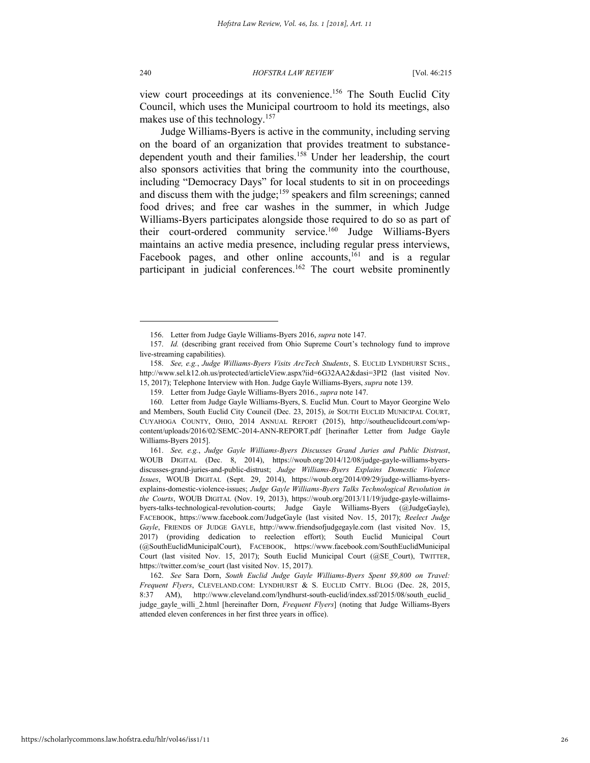view court proceedings at its convenience.<sup>156</sup> The South Euclid City Council, which uses the Municipal courtroom to hold its meetings, also makes use of this technology.<sup>157</sup>

Judge Williams-Byers is active in the community, including serving on the board of an organization that provides treatment to substancedependent youth and their families.<sup>158</sup> Under her leadership, the court also sponsors activities that bring the community into the courthouse, including "Democracy Days" for local students to sit in on proceedings and discuss them with the judge;<sup>159</sup> speakers and film screenings; canned food drives; and free car washes in the summer, in which Judge Williams-Byers participates alongside those required to do so as part of their court-ordered community service.<sup>160</sup> Judge Williams-Byers maintains an active media presence, including regular press interviews, Facebook pages, and other online accounts,  $161$  and is a regular participant in judicial conferences.<sup>162</sup> The court website prominently

<sup>156.</sup> Letter from Judge Gayle Williams-Byers 2016, *supra* note 147.

<sup>157.</sup> *Id.* (describing grant received from Ohio Supreme Court's technology fund to improve live-streaming capabilities).

<sup>158.</sup> *See, e.g.*, *Judge Williams-Byers Visits ArcTech Students*, S. EUCLID LYNDHURST SCHS., http://www.sel.k12.oh.us/protected/articleView.aspx?iid=6G32AA2&dasi=3PI2 (last visited Nov. 15, 2017); Telephone Interview with Hon. Judge Gayle Williams-Byers, *supra* note 139.

<sup>159.</sup> Letter from Judge Gayle Williams-Byers 2016., *supra* note 147.

<sup>160.</sup> Letter from Judge Gayle Williams-Byers, S. Euclid Mun. Court to Mayor Georgine Welo and Members, South Euclid City Council (Dec. 23, 2015), *in* SOUTH EUCLID MUNICIPAL COURT, CUYAHOGA COUNTY, OHIO, 2014 ANNUAL REPORT (2015), http://southeuclidcourt.com/wpcontent/uploads/2016/02/SEMC-2014-ANN-REPORT.pdf [herinafter Letter from Judge Gayle Williams-Byers 2015].

<sup>161.</sup> *See, e.g.*, *Judge Gayle Williams-Byers Discusses Grand Juries and Public Distrust*, WOUB DIGITAL (Dec. 8, 2014), https://woub.org/2014/12/08/judge-gayle-williams-byersdiscusses-grand-juries-and-public-distrust; *Judge Williams-Byers Explains Domestic Violence Issues*, WOUB DIGITAL (Sept. 29, 2014), https://woub.org/2014/09/29/judge-williams-byersexplains-domestic-violence-issues; *Judge Gayle Williams-Byers Talks Technological Revolution in the Courts*, WOUB DIGITAL (Nov. 19, 2013), https://woub.org/2013/11/19/judge-gayle-willaimsbyers-talks-technological-revolution-courts; Judge Gayle Williams-Byers (@JudgeGayle), FACEBOOK, https://www.facebook.com/JudgeGayle (last visited Nov. 15, 2017); *Reelect Judge Gayle*, FRIENDS OF JUDGE GAYLE, http://www.friendsofjudgegayle.com (last visited Nov. 15, 2017) (providing dedication to reelection effort); South Euclid Municipal Court (@SouthEuclidMunicipalCourt), FACEBOOK, https://www.facebook.com/SouthEuclidMunicipal Court (last visited Nov. 15, 2017); South Euclid Municipal Court (@SE\_Court), TWITTER, https://twitter.com/se\_court (last visited Nov. 15, 2017).

<sup>162.</sup> *See* Sara Dorn, *South Euclid Judge Gayle Williams-Byers Spent \$9,800 on Travel: Frequent Flyers*, CLEVELAND.COM: LYNDHURST & S. EUCLID CMTY. BLOG (Dec. 28, 2015, 8:37 AM), http://www.cleveland.com/lyndhurst-south-euclid/index.ssf/2015/08/south\_euclid\_ judge\_gayle\_willi\_2.html [hereinafter Dorn, *Frequent Flyers*] (noting that Judge Williams-Byers attended eleven conferences in her first three years in office).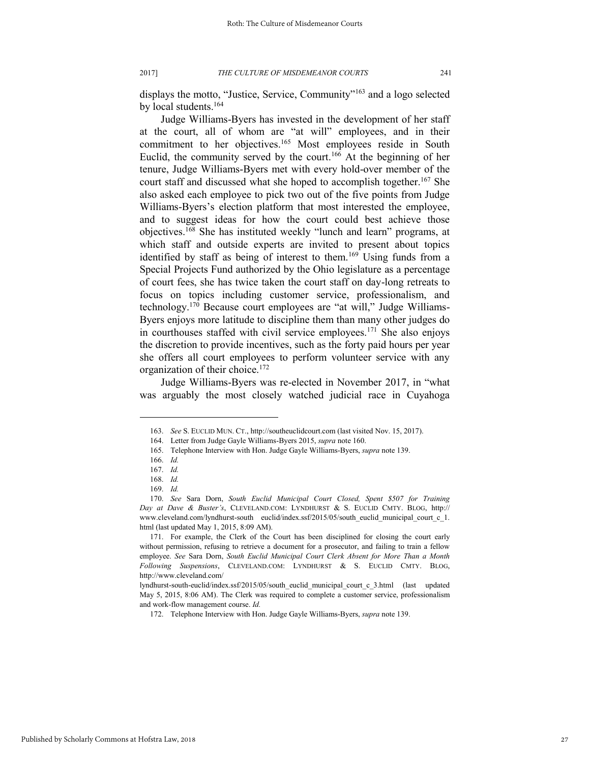displays the motto, "Justice, Service, Community"<sup>163</sup> and a logo selected by local students.<sup>164</sup>

Judge Williams-Byers has invested in the development of her staff at the court, all of whom are "at will" employees, and in their commitment to her objectives.<sup>165</sup> Most employees reside in South Euclid, the community served by the court.<sup>166</sup> At the beginning of her tenure, Judge Williams-Byers met with every hold-over member of the court staff and discussed what she hoped to accomplish together.<sup>167</sup> She also asked each employee to pick two out of the five points from Judge Williams-Byers's election platform that most interested the employee, and to suggest ideas for how the court could best achieve those objectives.<sup>168</sup> She has instituted weekly "lunch and learn" programs, at which staff and outside experts are invited to present about topics identified by staff as being of interest to them.<sup>169</sup> Using funds from a Special Projects Fund authorized by the Ohio legislature as a percentage of court fees, she has twice taken the court staff on day-long retreats to focus on topics including customer service, professionalism, and technology.<sup>170</sup> Because court employees are "at will," Judge Williams-Byers enjoys more latitude to discipline them than many other judges do in courthouses staffed with civil service employees.<sup>171</sup> She also enjoys the discretion to provide incentives, such as the forty paid hours per year she offers all court employees to perform volunteer service with any organization of their choice.<sup>172</sup>

Judge Williams-Byers was re-elected in November 2017, in "what was arguably the most closely watched judicial race in Cuyahoga

<sup>163.</sup> *See* S. EUCLID MUN. CT., http://southeuclidcourt.com (last visited Nov. 15, 2017).

<sup>164.</sup> Letter from Judge Gayle Williams-Byers 2015, *supra* note 160.

<sup>165.</sup> Telephone Interview with Hon. Judge Gayle Williams-Byers, *supra* note 139.

<sup>166.</sup> *Id.*

<sup>167.</sup> *Id.*

<sup>168.</sup> *Id.*

<sup>169.</sup> *Id.*

<sup>170.</sup> *See* Sara Dorn, *South Euclid Municipal Court Closed, Spent \$507 for Training Day at Dave & Buster's*, CLEVELAND.COM: LYNDHURST & S. EUCLID CMTY. BLOG, http:// www.cleveland.com/lyndhurst-south euclid/index.ssf/2015/05/south\_euclid\_municipal\_court\_c\_1. html (last updated May 1, 2015, 8:09 AM).

<sup>171.</sup> For example, the Clerk of the Court has been disciplined for closing the court early without permission, refusing to retrieve a document for a prosecutor, and failing to train a fellow employee. *See* Sara Dorn, *South Euclid Municipal Court Clerk Absent for More Than a Month Following Suspensions*, CLEVELAND.COM: LYNDHURST & S. EUCLID CMTY. BLOG, http://www.cleveland.com/

lyndhurst-south-euclid/index.ssf/2015/05/south\_euclid\_municipal\_court\_c\_3.html (last updated May 5, 2015, 8:06 AM). The Clerk was required to complete a customer service, professionalism and work-flow management course. *Id.*

<sup>172.</sup> Telephone Interview with Hon. Judge Gayle Williams-Byers, *supra* note 139.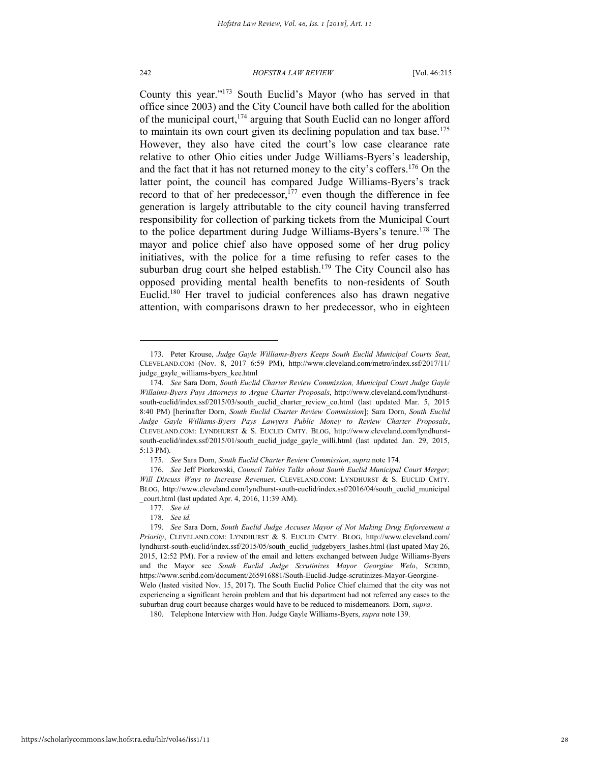#### 242 *HOFSTRA LAW REVIEW* [Vol. 46:215

County this year."<sup>173</sup> South Euclid's Mayor (who has served in that office since 2003) and the City Council have both called for the abolition of the municipal court,  $174$  arguing that South Euclid can no longer afford to maintain its own court given its declining population and tax base.<sup>175</sup> However, they also have cited the court's low case clearance rate relative to other Ohio cities under Judge Williams-Byers's leadership, and the fact that it has not returned money to the city's coffers.<sup>176</sup> On the latter point, the council has compared Judge Williams-Byers's track record to that of her predecessor,<sup>177</sup> even though the difference in fee generation is largely attributable to the city council having transferred responsibility for collection of parking tickets from the Municipal Court to the police department during Judge Williams-Byers's tenure.<sup>178</sup> The mayor and police chief also have opposed some of her drug policy initiatives, with the police for a time refusing to refer cases to the suburban drug court she helped establish.<sup>179</sup> The City Council also has opposed providing mental health benefits to non-residents of South Euclid.<sup>180</sup> Her travel to judicial conferences also has drawn negative attention, with comparisons drawn to her predecessor, who in eighteen

<sup>173.</sup> Peter Krouse, *Judge Gayle Williams-Byers Keeps South Euclid Municipal Courts Seat*, CLEVELAND.COM (Nov. 8, 2017 6:59 PM), http://www.cleveland.com/metro/index.ssf/2017/11/ judge\_gayle\_williams-byers\_kee.html

<sup>174.</sup> *See* Sara Dorn, *South Euclid Charter Review Commission, Municipal Court Judge Gayle Willaims-Byers Pays Attorneys to Argue Charter Proposals*, http://www.cleveland.com/lyndhurstsouth-euclid/index.ssf/2015/03/south\_euclid\_charter\_review\_co.html (last updated Mar. 5, 2015 8:40 PM) [herinafter Dorn, *South Euclid Charter Review Commission*]; Sara Dorn, *South Euclid Judge Gayle Williams-Byers Pays Lawyers Public Money to Review Charter Proposals*, CLEVELAND.COM: LYNDHURST & S. EUCLID CMTY. BLOG, http://www.cleveland.com/lyndhurstsouth-euclid/index.ssf/2015/01/south\_euclid\_judge\_gayle\_willi.html (last updated Jan. 29, 2015, 5:13 PM).

<sup>175.</sup> *See* Sara Dorn, *South Euclid Charter Review Commission*, *supra* note 174.

<sup>176.</sup> *See* Jeff Piorkowski, *Council Tables Talks about South Euclid Municipal Court Merger; Will Discuss Ways to Increase Revenues*, CLEVELAND.COM: LYNDHURST & S. EUCLID CMTY. BLOG, http://www.cleveland.com/lyndhurst-south-euclid/index.ssf/2016/04/south\_euclid\_municipal \_court.html (last updated Apr. 4, 2016, 11:39 AM).

<sup>177.</sup> *See id.* 

<sup>178.</sup> *See id.*

<sup>179.</sup> *See* Sara Dorn, *South Euclid Judge Accuses Mayor of Not Making Drug Enforcement a Priority*, CLEVELAND.COM: LYNDHURST & S. EUCLID CMTY. BLOG, http://www.cleveland.com/ lyndhurst-south-euclid/index.ssf/2015/05/south\_euclid\_judgebyers\_lashes.html (last upated May 26, 2015, 12:52 PM). For a review of the email and letters exchanged between Judge Williams-Byers and the Mayor see *South Euclid Judge Scrutinizes Mayor Georgine Welo*, SCRIBD, https://www.scribd.com/document/265916881/South-Euclid-Judge-scrutinizes-Mayor-Georgine-Welo (lasted visited Nov. 15, 2017). The South Euclid Police Chief claimed that the city was not experiencing a significant heroin problem and that his department had not referred any cases to the suburban drug court because charges would have to be reduced to misdemeanors. Dorn, *supra*.

<sup>180.</sup> Telephone Interview with Hon. Judge Gayle Williams-Byers, *supra* note 139.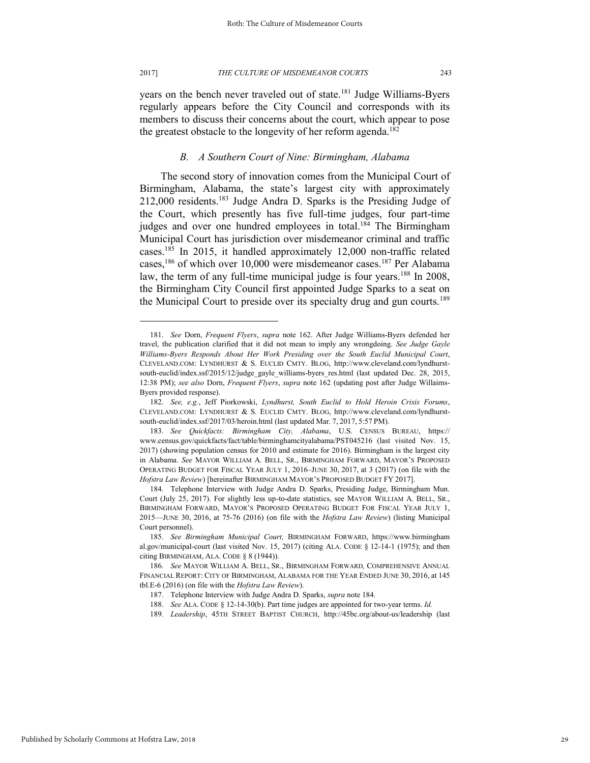years on the bench never traveled out of state.<sup>181</sup> Judge Williams-Byers regularly appears before the City Council and corresponds with its members to discuss their concerns about the court, which appear to pose the greatest obstacle to the longevity of her reform agenda.<sup>182</sup>

### *B. A Southern Court of Nine: Birmingham, Alabama*

The second story of innovation comes from the Municipal Court of Birmingham, Alabama, the state's largest city with approximately 212,000 residents.<sup>183</sup> Judge Andra D. Sparks is the Presiding Judge of the Court, which presently has five full-time judges, four part-time judges and over one hundred employees in total.<sup>184</sup> The Birmingham Municipal Court has jurisdiction over misdemeanor criminal and traffic cases.<sup>185</sup> In 2015, it handled approximately 12,000 non-traffic related cases,<sup>186</sup> of which over 10,000 were misdemeanor cases.<sup>187</sup> Per Alabama law, the term of any full-time municipal judge is four years.<sup>188</sup> In 2008, the Birmingham City Council first appointed Judge Sparks to a seat on the Municipal Court to preside over its specialty drug and gun courts.<sup>189</sup>

<sup>181.</sup> *See* Dorn, *Frequent Flyers*, *supra* note 162. After Judge Williams-Byers defended her travel, the publication clarified that it did not mean to imply any wrongdoing. *See Judge Gayle Williams-Byers Responds About Her Work Presiding over the South Euclid Municipal Court*, CLEVELAND.COM: LYNDHURST & S. EUCLID CMTY. BLOG, http://www.cleveland.com/lyndhurstsouth-euclid/index.ssf/2015/12/judge\_gayle\_williams-byers\_res.html (last updated Dec. 28, 2015, 12:38 PM); *see also* Dorn, *Frequent Flyers*, *supra* note 162 (updating post after Judge Willaims-Byers provided response).

<sup>182.</sup> *See, e.g.*, Jeff Piorkowski, *Lyndhurst, South Euclid to Hold Heroin Crisis Forums*, CLEVELAND.COM: LYNDHURST & S. EUCLID CMTY. BLOG, http://www.cleveland.com/lyndhurstsouth-euclid/index.ssf/2017/03/heroin.html (last updated Mar. 7, 2017, 5:57 PM).

<sup>183.</sup> *See Quickfacts: Birmingham City, Alabama*, U.S. CENSUS BUREAU, https:// www.census.gov/quickfacts/fact/table/birminghamcityalabama/PST045216 (last visited Nov. 15, 2017) (showing population census for 2010 and estimate for 2016). Birmingham is the largest city in Alabama. *See* MAYOR WILLIAM A. BELL, SR., BIRMINGHAM FORWARD, MAYOR'S PROPOSED OPERATING BUDGET FOR FISCAL YEAR JULY 1, 2016–JUNE 30, 2017, at 3 (2017) (on file with the *Hofstra Law Review*) [hereinafter BIRMINGHAM MAYOR'S PROPOSED BUDGET FY 2017].

<sup>184.</sup> Telephone Interview with Judge Andra D. Sparks, Presiding Judge, Birmingham Mun. Court (July 25, 2017). For slightly less up-to-date statistics, see MAYOR WILLIAM A. BELL, SR., BIRMINGHAM FORWARD, MAYOR'S PROPOSED OPERATING BUDGET FOR FISCAL YEAR JULY 1, 2015—JUNE 30, 2016, at 75-76 (2016) (on file with the *Hofstra Law Review*) (listing Municipal Court personnel).

<sup>185.</sup> *See Birmingham Municipal Court,* BIRMINGHAM FORWARD, https://www.birmingham al.gov/municipal-court (last visited Nov. 15, 2017) (citing ALA. CODE § 12-14-1 (1975); and then citing BIRMINGHAM, ALA. CODE § 8 (1944)).

<sup>186.</sup> *See* MAYOR WILLIAM A. BELL, SR., BIRMINGHAM FORWARD*,* COMPREHENSIVE ANNUAL FINANCIAL REPORT: CITY OF BIRMINGHAM, ALABAMA FOR THE YEAR ENDED JUNE 30, 2016, at 145 tbl.E-6 (2016) (on file with the *Hofstra Law Review*).

<sup>187.</sup> Telephone Interview with Judge Andra D. Sparks, *supra* note 184.

<sup>188.</sup> *See* ALA. CODE § 12-14-30(b). Part time judges are appointed for two-year terms. *Id.*

<sup>189.</sup> *Leadership*, 45TH STREET BAPTIST CHURCH, http://45bc.org/about-us/leadership (last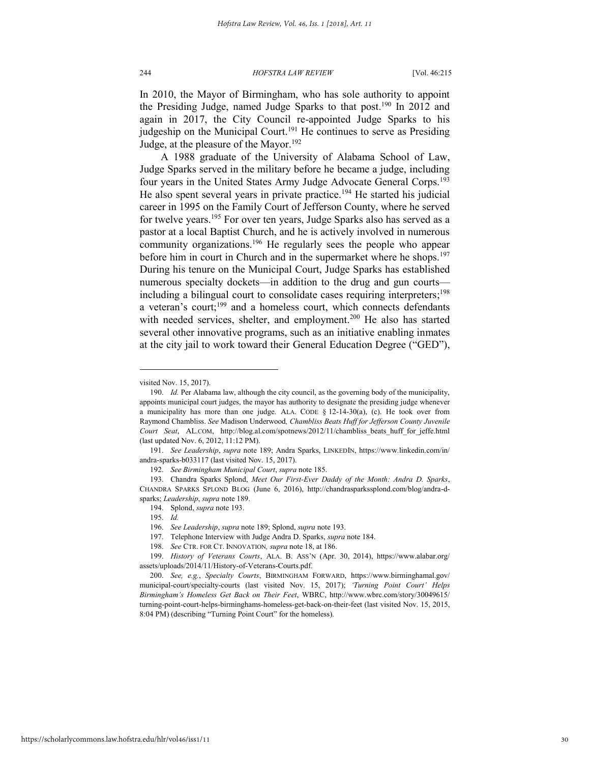In 2010, the Mayor of Birmingham, who has sole authority to appoint the Presiding Judge, named Judge Sparks to that post.<sup>190</sup> In 2012 and again in 2017, the City Council re-appointed Judge Sparks to his judgeship on the Municipal Court.<sup>191</sup> He continues to serve as Presiding Judge, at the pleasure of the Mayor.<sup>192</sup>

A 1988 graduate of the University of Alabama School of Law, Judge Sparks served in the military before he became a judge, including four years in the United States Army Judge Advocate General Corps.<sup>193</sup> He also spent several years in private practice.<sup>194</sup> He started his judicial career in 1995 on the Family Court of Jefferson County, where he served for twelve years.<sup>195</sup> For over ten years, Judge Sparks also has served as a pastor at a local Baptist Church, and he is actively involved in numerous community organizations.<sup>196</sup> He regularly sees the people who appear before him in court in Church and in the supermarket where he shops.<sup>197</sup> During his tenure on the Municipal Court, Judge Sparks has established numerous specialty dockets—in addition to the drug and gun courts including a bilingual court to consolidate cases requiring interpreters;<sup>198</sup> a veteran's court;<sup>199</sup> and a homeless court, which connects defendants with needed services, shelter, and employment.<sup>200</sup> He also has started several other innovative programs, such as an initiative enabling inmates at the city jail to work toward their General Education Degree ("GED"),

l

197. Telephone Interview with Judge Andra D. Sparks, *supra* note 184.

visited Nov. 15, 2017).

<sup>190.</sup> *Id.* Per Alabama law, although the city council, as the governing body of the municipality, appoints municipal court judges, the mayor has authority to designate the presiding judge whenever a municipality has more than one judge. ALA. CODE  $\S$  12-14-30(a), (c). He took over from Raymond Chambliss. *See* Madison Underwood*, Chambliss Beats Huff for Jefferson County Juvenile Court Seat*, AL.COM, http://blog.al.com/spotnews/2012/11/chambliss\_beats\_huff\_for\_jeffe.html (last updated Nov. 6, 2012, 11:12 PM).

<sup>191.</sup> *See Leadership*, *supra* note 189; Andra Sparks, LINKEDIN, https://www.linkedin.com/in/ andra-sparks-b033117 (last visited Nov. 15, 2017).

<sup>192.</sup> *See Birmingham Municipal Court*, *supra* note 185.

<sup>193.</sup> Chandra Sparks Splond, *Meet Our First-Ever Daddy of the Month: Andra D. Sparks*, CHANDRA SPARKS SPLOND BLOG (June 6, 2016), http://chandrasparkssplond.com/blog/andra-dsparks; *Leadership*, *supra* note 189.

<sup>194.</sup> Splond, *supra* note 193.

<sup>195.</sup> *Id.*

<sup>196.</sup> *See Leadership*, *supra* note 189; Splond, *supra* note 193.

<sup>198.</sup> *See* CTR. FOR CT. INNOVATION*, supra* note 18, at 186.

<sup>199.</sup> *History of Veterans Courts*, ALA. B. ASS'N (Apr. 30, 2014), https://www.alabar.org/ assets/uploads/2014/11/History-of-Veterans-Courts.pdf.

<sup>200.</sup> *See, e.g.*, *Specialty Courts*, BIRMINGHAM FORWARD, https://www.birminghamal.gov/ municipal-court/specialty-courts (last visited Nov. 15, 2017); *'Turning Point Court' Helps Birmingham's Homeless Get Back on Their Feet*, WBRC, http://www.wbrc.com/story/30049615/ turning-point-court-helps-birminghams-homeless-get-back-on-their-feet (last visited Nov. 15, 2015, 8:04 PM) (describing "Turning Point Court" for the homeless).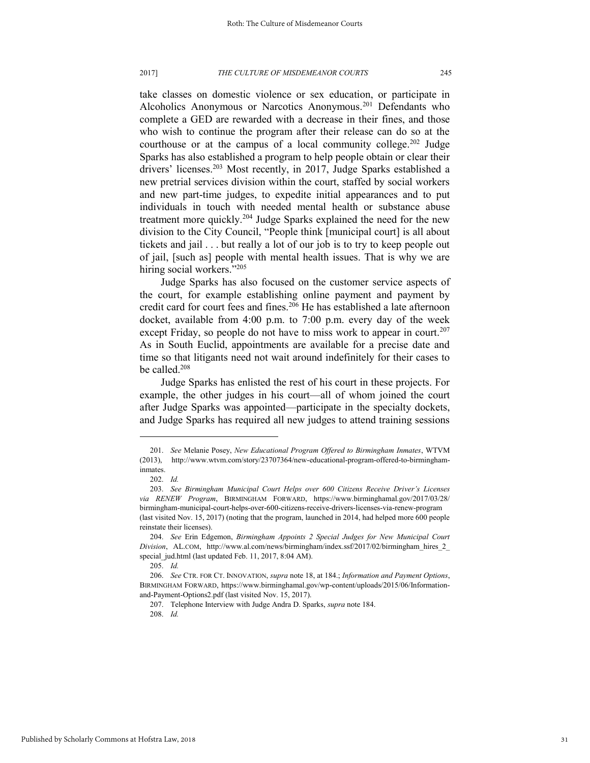#### 2017] *THE CULTURE OF MISDEMEANOR COURTS* 245

take classes on domestic violence or sex education, or participate in Alcoholics Anonymous or Narcotics Anonymous.<sup>201</sup> Defendants who complete a GED are rewarded with a decrease in their fines, and those who wish to continue the program after their release can do so at the courthouse or at the campus of a local community college.<sup>202</sup> Judge Sparks has also established a program to help people obtain or clear their drivers' licenses.<sup>203</sup> Most recently, in 2017, Judge Sparks established a new pretrial services division within the court, staffed by social workers and new part-time judges, to expedite initial appearances and to put individuals in touch with needed mental health or substance abuse treatment more quickly.<sup>204</sup> Judge Sparks explained the need for the new division to the City Council, "People think [municipal court] is all about tickets and jail . . . but really a lot of our job is to try to keep people out of jail, [such as] people with mental health issues. That is why we are hiring social workers."205

Judge Sparks has also focused on the customer service aspects of the court, for example establishing online payment and payment by credit card for court fees and fines.<sup>206</sup> He has established a late afternoon docket, available from 4:00 p.m. to 7:00 p.m. every day of the week except Friday, so people do not have to miss work to appear in court.<sup>207</sup> As in South Euclid, appointments are available for a precise date and time so that litigants need not wait around indefinitely for their cases to be called.<sup>208</sup>

Judge Sparks has enlisted the rest of his court in these projects. For example, the other judges in his court—all of whom joined the court after Judge Sparks was appointed—participate in the specialty dockets, and Judge Sparks has required all new judges to attend training sessions

l

207. Telephone Interview with Judge Andra D. Sparks, *supra* note 184.

208. *Id.*

<sup>201.</sup> *See* Melanie Posey, *New Educational Program Offered to Birmingham Inmates*, WTVM (2013), http://www.wtvm.com/story/23707364/new-educational-program-offered-to-birminghaminmates.

<sup>202.</sup> *Id.* 

<sup>203.</sup> *See Birmingham Municipal Court Helps over 600 Citizens Receive Driver's Licenses via RENEW Program*, BIRMINGHAM FORWARD, https://www.birminghamal.gov/2017/03/28/ birmingham-municipal-court-helps-over-600-citizens-receive-drivers-licenses-via-renew-program (last visited Nov. 15, 2017) (noting that the program, launched in 2014, had helped more 600 people reinstate their licenses).

<sup>204.</sup> *See* Erin Edgemon, *Birmingham Appoints 2 Special Judges for New Municipal Court Division*, AL.COM, http://www.al.com/news/birmingham/index.ssf/2017/02/birmingham\_hires\_2\_ special\_jud.html (last updated Feb. 11, 2017, 8:04 AM).

<sup>205.</sup> *Id.*

<sup>206.</sup> *See* CTR. FOR CT. INNOVATION, *supra* note 18, at 184.; *Information and Payment Options*, BIRMINGHAM FORWARD, https://www.birminghamal.gov/wp-content/uploads/2015/06/Informationand-Payment-Options2.pdf (last visited Nov. 15, 2017).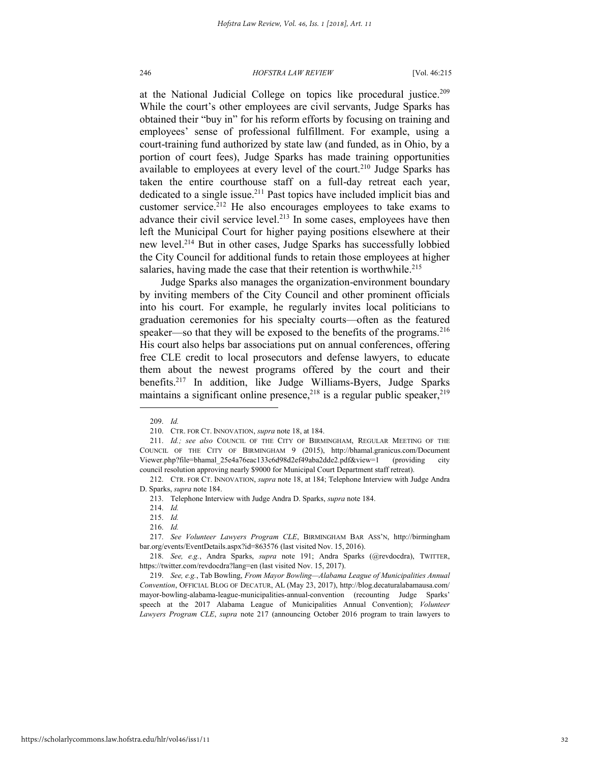at the National Judicial College on topics like procedural justice.<sup>209</sup> While the court's other employees are civil servants, Judge Sparks has obtained their "buy in" for his reform efforts by focusing on training and employees' sense of professional fulfillment. For example, using a court-training fund authorized by state law (and funded, as in Ohio, by a portion of court fees), Judge Sparks has made training opportunities available to employees at every level of the court.<sup>210</sup> Judge Sparks has taken the entire courthouse staff on a full-day retreat each year, dedicated to a single issue.<sup>211</sup> Past topics have included implicit bias and customer service.<sup>212</sup> He also encourages employees to take exams to advance their civil service level.<sup>213</sup> In some cases, employees have then left the Municipal Court for higher paying positions elsewhere at their new level.<sup>214</sup> But in other cases, Judge Sparks has successfully lobbied the City Council for additional funds to retain those employees at higher salaries, having made the case that their retention is worthwhile.<sup>215</sup>

Judge Sparks also manages the organization-environment boundary by inviting members of the City Council and other prominent officials into his court. For example, he regularly invites local politicians to graduation ceremonies for his specialty courts—often as the featured speaker—so that they will be exposed to the benefits of the programs.  $216$ His court also helps bar associations put on annual conferences, offering free CLE credit to local prosecutors and defense lawyers, to educate them about the newest programs offered by the court and their benefits.<sup>217</sup> In addition, like Judge Williams-Byers, Judge Sparks maintains a significant online presence,  $2^{18}$  is a regular public speaker,  $2^{19}$ 

l

216. *Id.*

<sup>209.</sup> *Id.*

<sup>210.</sup> CTR. FOR CT. INNOVATION, *supra* note 18, at 184.

<sup>211.</sup> *Id.; see also* COUNCIL OF THE CITY OF BIRMINGHAM, REGULAR MEETING OF THE COUNCIL OF THE CITY OF BIRMINGHAM 9 (2015), http://bhamal.granicus.com/Document Viewer.php?file=bhamal\_25e4a76eac133c6d98d2ef49aba2dde2.pdf&view=1 (providing city council resolution approving nearly \$9000 for Municipal Court Department staff retreat).

<sup>212.</sup> CTR. FOR CT. INNOVATION, *supra* note 18, at 184; Telephone Interview with Judge Andra D. Sparks, *supra* note 184.

<sup>213.</sup> Telephone Interview with Judge Andra D. Sparks, *supra* note 184.

<sup>214.</sup> *Id.*

<sup>215.</sup> *Id.*

<sup>217.</sup> *See Volunteer Lawyers Program CLE*, BIRMINGHAM BAR ASS'N, http://birmingham bar.org/events/EventDetails.aspx?id=863576 (last visited Nov. 15, 2016).

<sup>218.</sup> *See, e.g.*, Andra Sparks, *supra* note 191; Andra Sparks (@revdocdra), TWITTER, https://twitter.com/revdocdra?lang=en (last visited Nov. 15, 2017).

<sup>219.</sup> *See, e.g.*, Tab Bowling, *From Mayor Bowling—Alabama League of Municipalities Annual Convention*, OFFICIAL BLOG OF DECATUR, AL (May 23, 2017), http://blog.decaturalabamausa.com/ mayor-bowling-alabama-league-municipalities-annual-convention (recounting Judge Sparks' speech at the 2017 Alabama League of Municipalities Annual Convention); *Volunteer Lawyers Program CLE*, *supra* note 217 (announcing October 2016 program to train lawyers to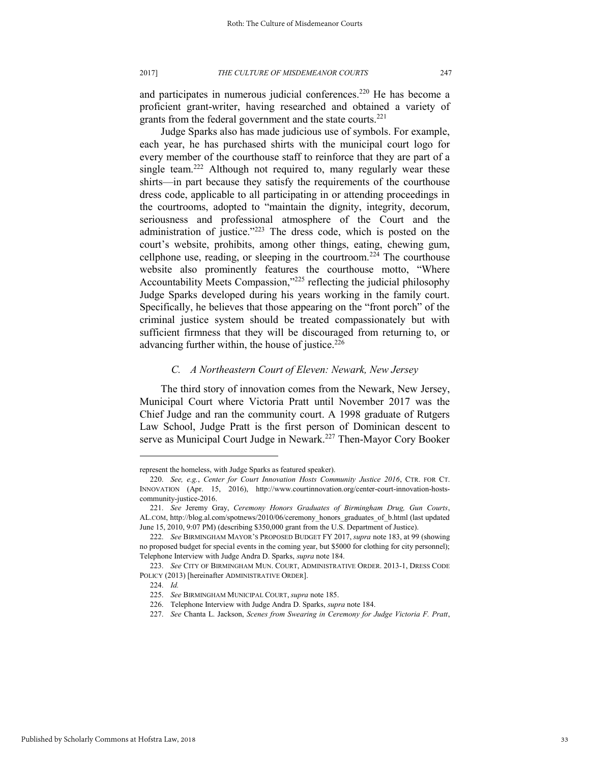and participates in numerous judicial conferences.<sup>220</sup> He has become a proficient grant-writer, having researched and obtained a variety of grants from the federal government and the state courts.<sup>221</sup>

Judge Sparks also has made judicious use of symbols. For example, each year, he has purchased shirts with the municipal court logo for every member of the courthouse staff to reinforce that they are part of a single team.<sup>222</sup> Although not required to, many regularly wear these shirts—in part because they satisfy the requirements of the courthouse dress code, applicable to all participating in or attending proceedings in the courtrooms, adopted to "maintain the dignity, integrity, decorum, seriousness and professional atmosphere of the Court and the administration of justice."<sup>223</sup> The dress code, which is posted on the court's website, prohibits, among other things, eating, chewing gum, cellphone use, reading, or sleeping in the courtroom.<sup>224</sup> The courthouse website also prominently features the courthouse motto, "Where Accountability Meets Compassion,"<sup>225</sup> reflecting the judicial philosophy Judge Sparks developed during his years working in the family court. Specifically, he believes that those appearing on the "front porch" of the criminal justice system should be treated compassionately but with sufficient firmness that they will be discouraged from returning to, or advancing further within, the house of justice.<sup>226</sup>

### *C. A Northeastern Court of Eleven: Newark, New Jersey*

The third story of innovation comes from the Newark, New Jersey, Municipal Court where Victoria Pratt until November 2017 was the Chief Judge and ran the community court. A 1998 graduate of Rutgers Law School, Judge Pratt is the first person of Dominican descent to serve as Municipal Court Judge in Newark.<sup>227</sup> Then-Mayor Cory Booker

represent the homeless, with Judge Sparks as featured speaker).

<sup>220.</sup> *See, e.g.*, *Center for Court Innovation Hosts Community Justice 2016*, CTR. FOR CT. INNOVATION (Apr. 15, 2016), http://www.courtinnovation.org/center-court-innovation-hostscommunity-justice-2016.

<sup>221.</sup> *See* Jeremy Gray, *Ceremony Honors Graduates of Birmingham Drug, Gun Courts*, AL.COM, http://blog.al.com/spotnews/2010/06/ceremony\_honors\_graduates\_of\_b.html (last updated June 15, 2010, 9:07 PM) (describing \$350,000 grant from the U.S. Department of Justice).

<sup>222.</sup> *See* BIRMINGHAM MAYOR'S PROPOSED BUDGET FY 2017, *supra* note 183, at 99 (showing no proposed budget for special events in the coming year, but \$5000 for clothing for city personnel); Telephone Interview with Judge Andra D. Sparks, *supra* note 184.

<sup>223.</sup> *See* CITY OF BIRMINGHAM MUN. COURT, ADMINISTRATIVE ORDER. 2013-1, DRESS CODE POLICY (2013) [hereinafter ADMINISTRATIVE ORDER].

<sup>224.</sup> *Id.* 

<sup>225.</sup> *See* BIRMINGHAM MUNICIPAL COURT, *supra* note 185.

<sup>226.</sup> Telephone Interview with Judge Andra D. Sparks, *supra* note 184.

<sup>227.</sup> *See* Chanta L. Jackson, *Scenes from Swearing in Ceremony for Judge Victoria F. Pratt*,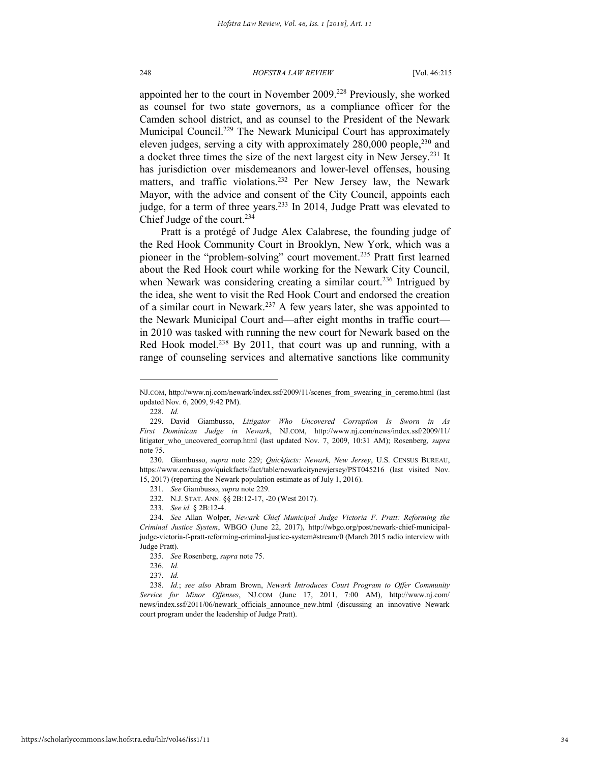appointed her to the court in November 2009.<sup>228</sup> Previously, she worked as counsel for two state governors, as a compliance officer for the Camden school district, and as counsel to the President of the Newark Municipal Council.<sup>229</sup> The Newark Municipal Court has approximately eleven judges, serving a city with approximately 280,000 people,<sup>230</sup> and a docket three times the size of the next largest city in New Jersey.<sup>231</sup> It has jurisdiction over misdemeanors and lower-level offenses, housing matters, and traffic violations.<sup>232</sup> Per New Jersey law, the Newark Mayor, with the advice and consent of the City Council, appoints each judge, for a term of three years.<sup>233</sup> In 2014, Judge Pratt was elevated to Chief Judge of the court.<sup>234</sup>

Pratt is a protégé of Judge Alex Calabrese, the founding judge of the Red Hook Community Court in Brooklyn, New York, which was a pioneer in the "problem-solving" court movement. <sup>235</sup> Pratt first learned about the Red Hook court while working for the Newark City Council, when Newark was considering creating a similar court.<sup>236</sup> Intrigued by the idea, she went to visit the Red Hook Court and endorsed the creation of a similar court in Newark.<sup>237</sup> A few years later, she was appointed to the Newark Municipal Court and—after eight months in traffic court in 2010 was tasked with running the new court for Newark based on the Red Hook model.<sup>238</sup> By 2011, that court was up and running, with a range of counseling services and alternative sanctions like community

NJ.COM, http://www.nj.com/newark/index.ssf/2009/11/scenes\_from\_swearing\_in\_ceremo.html (last updated Nov. 6, 2009, 9:42 PM).

<sup>228.</sup> *Id.* 

<sup>229.</sup> David Giambusso, *Litigator Who Uncovered Corruption Is Sworn in As First Dominican Judge in Newark*, NJ.COM, http://www.nj.com/news/index.ssf/2009/11/ litigator\_who\_uncovered\_corrup.html (last updated Nov. 7, 2009, 10:31 AM); Rosenberg, *supra*  note 75.

<sup>230.</sup> Giambusso, *supra* note 229; *Quickfacts: Newark, New Jersey*, U.S. CENSUS BUREAU, https://www.census.gov/quickfacts/fact/table/newarkcitynewjersey/PST045216 (last visited Nov. 15, 2017) (reporting the Newark population estimate as of July 1, 2016).

<sup>231.</sup> *See* Giambusso, *supra* note 229.

<sup>232.</sup> N.J. STAT. ANN. §§ 2B:12-17, -20 (West 2017).

<sup>233.</sup> *See id.* § 2B:12-4.

<sup>234.</sup> *See* Allan Wolper, *Newark Chief Municipal Judge Victoria F. Pratt: Reforming the Criminal Justice System*, WBGO (June 22, 2017), http://wbgo.org/post/newark-chief-municipaljudge-victoria-f-pratt-reforming-criminal-justice-system#stream/0 (March 2015 radio interview with Judge Pratt).

<sup>235.</sup> *See* Rosenberg, *supra* note 75.

<sup>236.</sup> *Id.* 

<sup>237.</sup> *Id.*

<sup>238.</sup> *Id.*; *see also* Abram Brown, *Newark Introduces Court Program to Offer Community Service for Minor Offenses*, NJ.COM (June 17, 2011, 7:00 AM), http://www.nj.com/ news/index.ssf/2011/06/newark\_officials\_announce\_new.html (discussing an innovative Newark court program under the leadership of Judge Pratt).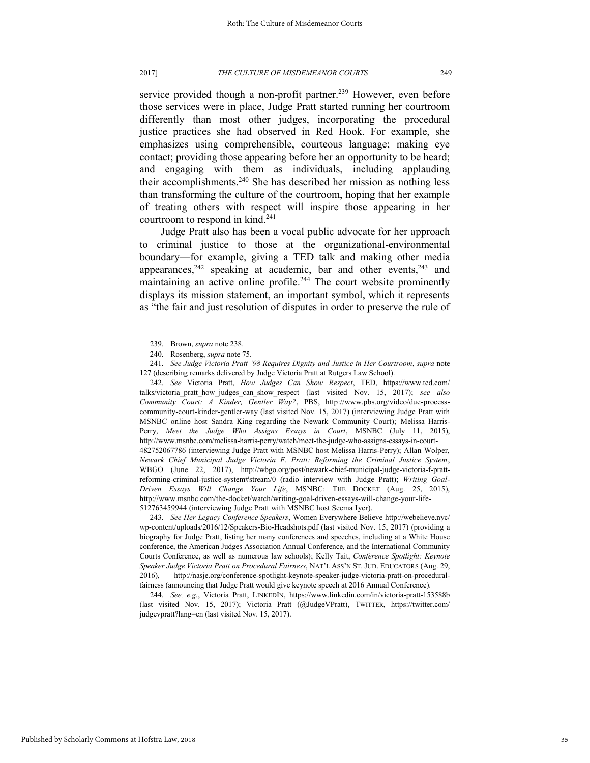service provided though a non-profit partner.<sup>239</sup> However, even before those services were in place, Judge Pratt started running her courtroom differently than most other judges, incorporating the procedural justice practices she had observed in Red Hook. For example, she emphasizes using comprehensible, courteous language; making eye contact; providing those appearing before her an opportunity to be heard; and engaging with them as individuals, including applauding their accomplishments.<sup>240</sup> She has described her mission as nothing less than transforming the culture of the courtroom, hoping that her example of treating others with respect will inspire those appearing in her courtroom to respond in kind.<sup>241</sup>

Judge Pratt also has been a vocal public advocate for her approach to criminal justice to those at the organizational-environmental boundary—for example, giving a TED talk and making other media appearances, $242$  speaking at academic, bar and other events, $243$  and maintaining an active online profile.<sup>244</sup> The court website prominently displays its mission statement, an important symbol, which it represents as "the fair and just resolution of disputes in order to preserve the rule of

l

242. *See* Victoria Pratt, *How Judges Can Show Respect*, TED, https://www.ted.com/ talks/victoria\_pratt\_how\_judges\_can\_show\_respect (last visited Nov. 15, 2017); *see also Community Court: A Kinder, Gentler Way?*, PBS, http://www.pbs.org/video/due-processcommunity-court-kinder-gentler-way (last visited Nov. 15, 2017) (interviewing Judge Pratt with MSNBC online host Sandra King regarding the Newark Community Court); Melissa Harris-Perry, *Meet the Judge Who Assigns Essays in Court*, MSNBC (July 11, 2015), http://www.msnbc.com/melissa-harris-perry/watch/meet-the-judge-who-assigns-essays-in-court-482752067786 (interviewing Judge Pratt with MSNBC host Melissa Harris-Perry); Allan Wolper, *Newark Chief Municipal Judge Victoria F. Pratt: Reforming the Criminal Justice System*, WBGO (June 22, 2017), http://wbgo.org/post/newark-chief-municipal-judge-victoria-f-prattreforming-criminal-justice-system#stream/0 (radio interview with Judge Pratt); *Writing Goal-Driven Essays Will Change Your Life*, MSNBC: THE DOCKET (Aug. 25, 2015), http://www.msnbc.com/the-docket/watch/writing-goal-driven-essays-will-change-your-life-512763459944 (interviewing Judge Pratt with MSNBC host Seema Iyer).

243. *See Her Legacy Conference Speakers*, Women Everywhere Believe http://webelieve.nyc/ wp-content/uploads/2016/12/Speakers-Bio-Headshots.pdf (last visited Nov. 15, 2017) (providing a biography for Judge Pratt, listing her many conferences and speeches, including at a White House conference, the American Judges Association Annual Conference, and the International Community Courts Conference, as well as numerous law schools); Kelly Tait, *Conference Spotlight: Keynote Speaker Judge Victoria Pratt on Procedural Fairness*, NAT'L ASS'N ST. JUD. EDUCATORS (Aug. 29, 2016), http://nasje.org/conference-spotlight-keynote-speaker-judge-victoria-pratt-on-proceduralfairness (announcing that Judge Pratt would give keynote speech at 2016 Annual Conference).

244. *See, e.g.*, Victoria Pratt, LINKEDIN, https://www.linkedin.com/in/victoria-pratt-153588b (last visited Nov. 15, 2017); Victoria Pratt (@JudgeVPratt), TWITTER, https://twitter.com/ judgevpratt?lang=en (last visited Nov. 15, 2017).

<sup>239.</sup> Brown, *supra* note 238.

<sup>240.</sup> Rosenberg, *supra* note 75.

<sup>241.</sup> *See Judge Victoria Pratt '98 Requires Dignity and Justice in Her Courtroom*, *supra* note 127 (describing remarks delivered by Judge Victoria Pratt at Rutgers Law School).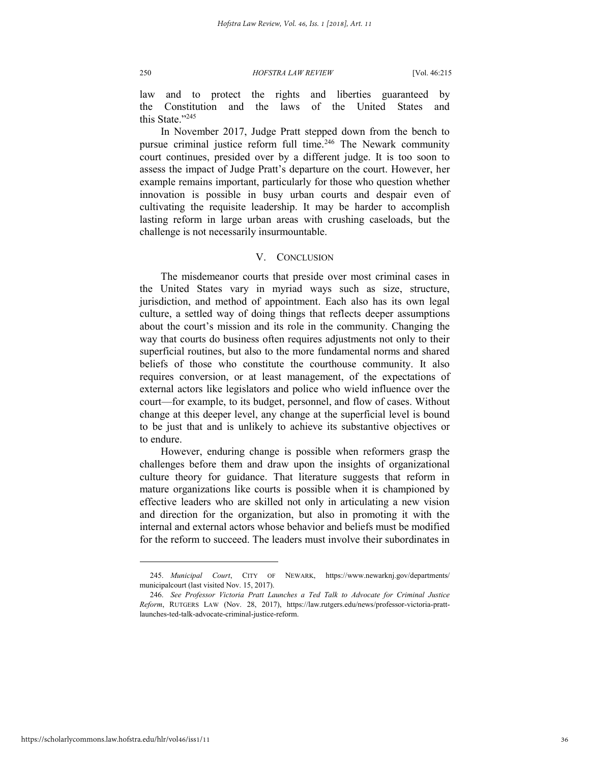law and to protect the rights and liberties guaranteed by the Constitution and the laws of the United States and this State<sup>"245</sup>

In November 2017, Judge Pratt stepped down from the bench to pursue criminal justice reform full time.<sup>246</sup> The Newark community court continues, presided over by a different judge. It is too soon to assess the impact of Judge Pratt's departure on the court. However, her example remains important, particularly for those who question whether innovation is possible in busy urban courts and despair even of cultivating the requisite leadership. It may be harder to accomplish lasting reform in large urban areas with crushing caseloads, but the challenge is not necessarily insurmountable.

### V. CONCLUSION

The misdemeanor courts that preside over most criminal cases in the United States vary in myriad ways such as size, structure, jurisdiction, and method of appointment. Each also has its own legal culture, a settled way of doing things that reflects deeper assumptions about the court's mission and its role in the community. Changing the way that courts do business often requires adjustments not only to their superficial routines, but also to the more fundamental norms and shared beliefs of those who constitute the courthouse community. It also requires conversion, or at least management, of the expectations of external actors like legislators and police who wield influence over the court—for example, to its budget, personnel, and flow of cases. Without change at this deeper level, any change at the superficial level is bound to be just that and is unlikely to achieve its substantive objectives or to endure.

However, enduring change is possible when reformers grasp the challenges before them and draw upon the insights of organizational culture theory for guidance. That literature suggests that reform in mature organizations like courts is possible when it is championed by effective leaders who are skilled not only in articulating a new vision and direction for the organization, but also in promoting it with the internal and external actors whose behavior and beliefs must be modified for the reform to succeed. The leaders must involve their subordinates in

<sup>245.</sup> *Municipal Court*, CITY OF NEWARK, https://www.newarknj.gov/departments/ municipalcourt (last visited Nov. 15, 2017).

<sup>246.</sup> *See Professor Victoria Pratt Launches a Ted Talk to Advocate for Criminal Justice Reform*, RUTGERS LAW (Nov. 28, 2017), https://law.rutgers.edu/news/professor-victoria-prattlaunches-ted-talk-advocate-criminal-justice-reform.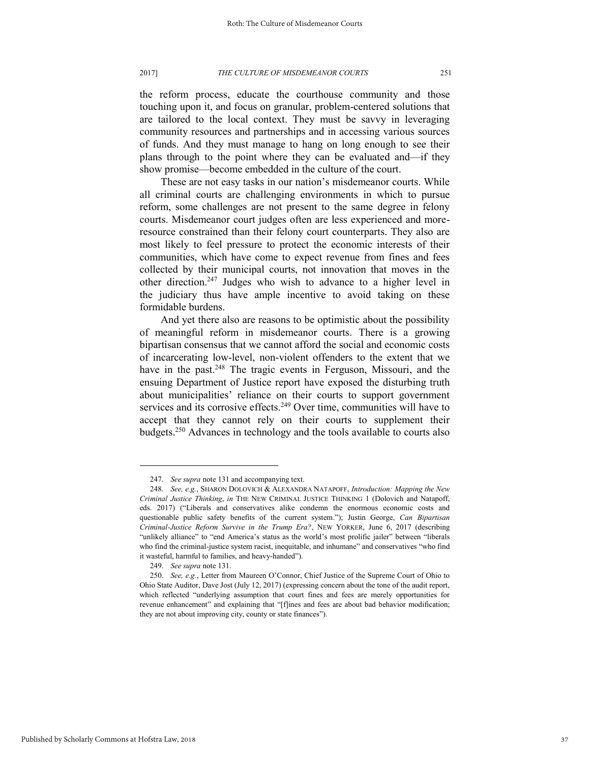the reform process, educate the courthouse community and those touching upon it, and focus on granular, problem-centered solutions that are tailored to the local context. They must be savvy in leveraging community resources and partnerships and in accessing various sources of funds. And they must manage to hang on long enough to see their plans through to the point where they can be evaluated and—if they show promise—become embedded in the culture of the court.

These are not easy tasks in our nation's misdemeanor courts. While all criminal courts are challenging environments in which to pursue reform, some challenges are not present to the same degree in felony courts. Misdemeanor court judges often are less experienced and moreresource constrained than their felony court counterparts. They also are most likely to feel pressure to protect the economic interests of their communities, which have come to expect revenue from fines and fees collected by their municipal courts, not innovation that moves in the other direction.<sup>247</sup> Judges who wish to advance to a higher level in the judiciary thus have ample incentive to avoid taking on these formidable burdens.

And yet there also are reasons to be optimistic about the possibility of meaningful reform in misdemeanor courts. There is a growing bipartisan consensus that we cannot afford the social and economic costs of incarcerating low-level, non-violent offenders to the extent that we have in the past.<sup>248</sup> The tragic events in Ferguson, Missouri, and the ensuing Department of Justice report have exposed the disturbing truth about municipalities' reliance on their courts to support government services and its corrosive effects.<sup>249</sup> Over time, communities will have to accept that they cannot rely on their courts to supplement their budgets.<sup>250</sup> Advances in technology and the tools available to courts also

<sup>247.</sup> *See supra* note 131 and accompanying text.

<sup>248.</sup> *See, e.g.*, SHARON DOLOVICH & ALEXANDRA NATAPOFF, *Introduction: Mapping the New Criminal Justice Thinking*, *in* THE NEW CRIMINAL JUSTICE THINKING 1 (Dolovich and Natapoff, eds. 2017) ("Liberals and conservatives alike condemn the enormous economic costs and questionable public safety benefits of the current system."); Justin George, *Can Bipartisan Criminal-Justice Reform Survive in the Trump Era?*, NEW YORKER, June 6, 2017 (describing "unlikely alliance" to "end America's status as the world's most prolific jailer" between "liberals who find the criminal-justice system racist, inequitable, and inhumane" and conservatives "who find it wasteful, harmful to families, and heavy-handed").

<sup>249.</sup> *See supra* note 131.

<sup>250.</sup> *See, e.g.*, Letter from Maureen O'Connor, Chief Justice of the Supreme Court of Ohio to Ohio State Auditor, Dave Jost (July 12, 2017) (expressing concern about the tone of the audit report, which reflected "underlying assumption that court fines and fees are merely opportunities for revenue enhancement" and explaining that "[f]ines and fees are about bad behavior modification; they are not about improving city, county or state finances").